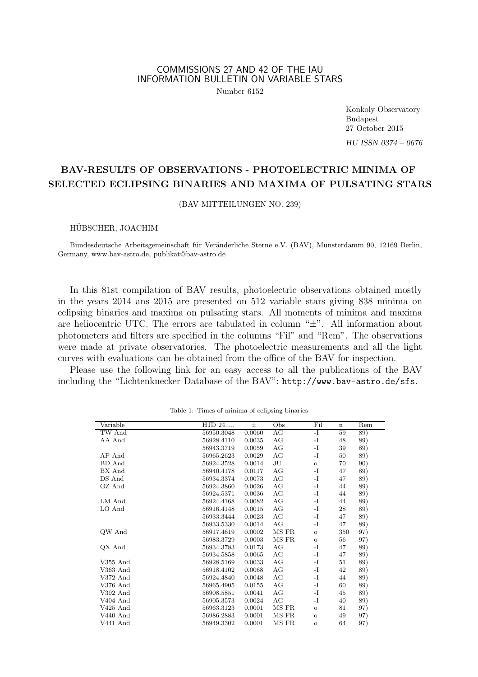# COMMISSIONS 27 AND 42 OF THE IAU INFORMATION BULLETIN ON VARIABLE STARS

Number 6152

Konkoly Observatory Budapest 27 October 2015 HU ISSN 0374 – 0676

# BAV-RESULTS OF OBSERVATIONS - PHOTOELECTRIC MINIMA OF SELECTED ECLIPSING BINARIES AND MAXIMA OF PULSATING STARS

(BAV MITTEILUNGEN NO. 239)

### HÜBSCHER, JOACHIM

Bundesdeutsche Arbeitsgemeinschaft für Veränderliche Sterne e.V. (BAV), Munsterdamm 90, 12169 Berlin, Germany, www.bav-astro.de, publikat@bav-astro.de

In this 81st compilation of BAV results, photoelectric observations obtained mostly in the years 2014 ans 2015 are presented on 512 variable stars giving 838 minima on eclipsing binaries and maxima on pulsating stars. All moments of minima and maxima are heliocentric UTC. The errors are tabulated in column "±". All information about photometers and filters are specified in the columns "Fil" and "Rem". The observations were made at private observatories. The photoelectric measurements and all the light curves with evaluations can be obtained from the office of the BAV for inspection.

Please use the following link for an easy access to all the publications of the BAV including the "Lichtenknecker Database of the BAV": http://www.bav-astro.de/sfs.

| Variable   | HJD 24     | 士      | Obs   | Fil         | $\mathbf n$ | Rem |
|------------|------------|--------|-------|-------------|-------------|-----|
| TW And     | 56950.3048 | 0.0060 | AG    | -I          | 59          | 89) |
| AA And     | 56928.4110 | 0.0035 | AG    | -I          | 48          | 89) |
|            | 56943.3719 | 0.0059 | AG    | -I          | 39          | 89) |
| AP And     | 56965.2623 | 0.0029 | AG    | -I          | 50          | 89) |
| BD And     | 56924.3528 | 0.0014 | JU    | $\circ$     | 70          | 90) |
| BX And     | 56940.4178 | 0.0117 | AG    | $-I$        | 47          | 89) |
| DS And     | 56934.3374 | 0.0073 | AG    | -I          | 47          | 89) |
| GZ And     | 56924.3860 | 0.0026 | AG    | -1          | 44          | 89) |
|            | 56924.5371 | 0.0036 | AG    | $-I$        | 44          | 89) |
| LM And     | 56924.4168 | 0.0082 | AG    | $-I$        | 44          | 89) |
| LO And     | 56916.4148 | 0.0015 | AG    | -I          | 28          | 89) |
|            | 56933.3444 | 0.0023 | AG    | -I          | 47          | 89) |
|            | 56933.5330 | 0.0014 | AG    | $-I$        | 47          | 89) |
| QW And     | 56917.4619 | 0.0002 | MS FR | $\circ$     | 350         | 97) |
|            | 56983.3729 | 0.0003 | MS FR | $\mathbf O$ | 56          | 97) |
| QX And     | 56934.3783 | 0.0173 | AG    | $-I$        | 47          | 89) |
|            | 56934.5858 | 0.0065 | AG    | $-I$        | 47          | 89) |
| V355 And   | 56928.5169 | 0.0033 | AG    | $-I$        | 51          | 89) |
| V363 And   | 56918.4102 | 0.0068 | AG    | -I          | 42          | 89) |
| V372 And   | 56924.4840 | 0.0048 | AG    | $-I$        | 44          | 89) |
| V376 And   | 56965.4905 | 0.0155 | AG    | -1          | 60          | 89) |
| V392 And   | 56908.5851 | 0.0041 | AG    | -I          | 45          | 89) |
| V404 And   | 56905.3573 | 0.0024 | AG    | $-I$        | 40          | 89) |
| $V425$ And | 56963.3123 | 0.0001 | MS FR | $\circ$     | 81          | 97) |
| $V440$ And | 56986.2883 | 0.0001 | MS FR | $\mathbf O$ | 49          | 97) |
| V441 And   | 56949.3302 | 0.0001 | MS FR | $\circ$     | 64          | 97) |
|            |            |        |       |             |             |     |

Table 1: Times of minima of eclipsing binaries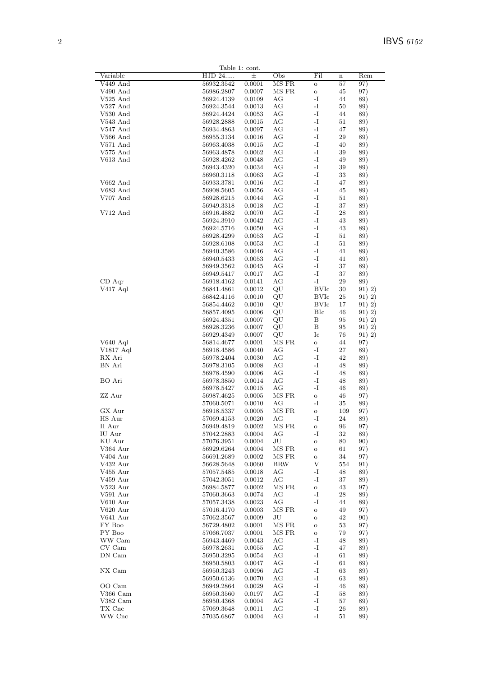|            |                              | Table 1: cont. |              |                |             |        |
|------------|------------------------------|----------------|--------------|----------------|-------------|--------|
| Variable   | $\overline{\mathrm{HJD}}$ 24 | 土              | $_{\rm Obs}$ | Fil            | $\mathbf n$ | Rem    |
| V449 And   | 56932.3542                   | 0.0001         | MS FR        | $\mathbf O$    | 57          | 97)    |
|            |                              |                |              |                |             |        |
| V490 And   | 56986.2807                   | 0.0007         | MS FR        | $\mathbf O$    | 45          | 97)    |
| $V525$ And | 56924.4139                   | 0.0109         | AG           | -1             | 44          | 89)    |
| V527 And   | 56924.3544                   | 0.0013         | AG           | -I             | 50          | 89)    |
| V530 And   | 56924.4424                   | 0.0053         | AG           | -I             | 44          | 89)    |
| V543 And   | 56928.2888                   | 0.0015         | AG           | -I             | 51          | 89)    |
|            |                              |                |              |                |             |        |
| V547 And   | 56934.4863                   | 0.0097         | AG           | $\mathbf I$    | 47          | 89)    |
| $V566$ And | 56955.3134                   | 0.0016         | AG           | -I             | 29          | 89)    |
| $V571$ And | 56963.4038                   | 0.0015         | AG           | -1             | 40          | 89)    |
| $V575$ And | 56963.4878                   | 0.0062         | AG           | -I             | 39          | 89)    |
|            |                              |                |              | $\mathbf{I}$ – |             |        |
| V613 And   | 56928.4262                   | 0.0048         | AG           |                | 49          | 89)    |
|            | 56943.4320                   | 0.0034         | AG           | -I             | 39          | 89)    |
|            | 56960.3118                   | 0.0063         | AG           | -I             | 33          | 89)    |
| $V662$ And | 56933.3781                   | 0.0016         | AG           | $\mathbf I$    | 47          | 89)    |
| V683 And   | 56908.5605                   | 0.0056         | AG           | -I             | 45          | 89)    |
|            |                              |                |              |                |             |        |
| V707 And   | 56928.6215                   | 0.0044         | AG           | $\mathbf{I}$ – | 51          | 89)    |
|            | 56949.3318                   | 0.0018         | AG           | -I             | 37          | 89)    |
| V712 And   | 56916.4882                   | 0.0070         | AG           | I-             | 28          | 89)    |
|            | 56924.3910                   | 0.0042         | AG           | $\mathbf{I}$ – | 43          | 89)    |
|            | 56924.5716                   | 0.0050         | AG           | -I             | 43          | 89)    |
|            |                              |                |              |                |             |        |
|            | 56928.4299                   | 0.0053         | AG           | $\mathbf{I}$ – | 51          | 89)    |
|            | 56928.6108                   | 0.0053         | AG           | -I             | 51          | 89)    |
|            | 56940.3586                   | 0.0046         | AG           | -I             | 41          | 89)    |
|            | 56940.5433                   | 0.0053         | AG           | $\mathbf{I}$ – | 41          | 89)    |
|            | 56949.3562                   | 0.0045         | AG           | -I             | 37          | 89)    |
|            |                              |                |              |                |             |        |
|            | 56949.5417                   | 0.0017         | AG           | $\mathbf{I}$ – | 37          | 89)    |
| CD Aqr     | 56918.4162                   | 0.0141         | AG           | -I             | 29          | 89)    |
| V417 Aql   | 56841.4861                   | 0.0012         | QU           | <b>BVIc</b>    | 30          | 91) 2) |
|            | 56842.4116                   | 0.0010         | QU           | BVIc           | 25          | 91) 2) |
|            |                              |                | QU           | BVIc           | 17          |        |
|            | 56854.4462                   | 0.0010         |              |                |             | 91) 2) |
|            | 56857.4095                   | 0.0006         | QU           | $_{\rm BIC}$   | 46          | 91) 2) |
|            | 56924.4351                   | 0.0007         | QU           | $\, {\bf B}$   | 95          | 91) 2) |
|            | 56928.3236                   | 0.0007         | QU           | $\, {\bf B}$   | 95          | 91) 2) |
|            | 56929.4349                   | 0.0007         | QU           | ${\rm Ic}$     | 76          | 91) 2) |
| V640 Aql   | 56814.4677                   | 0.0001         | MS FR        | $\rm{O}$       | 44          | 97)    |
|            |                              |                |              |                |             |        |
| V1817 Aql  | 56918.4586                   | 0.0040         | AG           | -I             | 27          | 89)    |
| RX Ari     | 56978.2404                   | 0.0030         | AG           | -I             | 42          | 89)    |
| BN Ari     | 56978.3105                   | 0.0008         | AG           | $\mathbf{I}$ – | 48          | 89)    |
|            | 56978.4590                   | 0.0006         | AG           | -I             | 48          | 89)    |
| BO Ari     |                              |                | AG           | $\mathbf{I}$ – | 48          |        |
|            | 56978.3850                   | 0.0014         |              |                |             | 89)    |
|            | 56978.5427                   | 0.0015         | AG           | -I             | 46          | 89)    |
| ZZ Aur     | 56987.4625                   | 0.0005         | MS FR        | $\rm{O}$       | 46          | 97)    |
|            | 57060.5071                   | 0.0010         | AG           | -I             | 35          | 89)    |
| GX Aur     | 56918.5337                   | 0.0005         | MS FR        | $\mathbf O$    | 109         | 97)    |
| HS Aur     | 57069.4153                   | 0.0020         | AG           | -1             | 24          |        |
|            |                              |                |              |                |             | 89)    |
| II Aur     | 56949.4819                   | 0.0002         | MS FR        | $\circ$        | 96          | 97)    |
| IU Aur     | 57042.2883                   | 0.0004         | AG           | -1             | 32          | 89)    |
| KU Aur     | 57076.3951                   | 0.0004         | JU           | $\mathbf O$    | 80          | 90)    |
| V364 Aur   | 56929.6264                   | 0.0004         | MS FR        | $\mathbf O$    | 61          | 97)    |
| V404 Aur   | 56691.2689                   | 0.0002         | MS FR        | $\rm{O}$       | 34          | 97)    |
|            |                              |                |              |                |             |        |
| V432 Aur   | 56628.5648                   | 0.0060         | BRW          | V              | 554         | 91)    |
| V455 Aur   | 57057.5485                   | 0.0018         | AG           | -1             | 48          | 89)    |
| V459 Aur   | 57042.3051                   | 0.0012         | AG           | -I             | 37          | 89)    |
| V523 Aur   | 56984.5877                   | 0.0002         | MS FR        | $\mathbf{o}$   | 43          | 97)    |
| V591 Aur   | 57060.3663                   | 0.0074         | AG           | -I             | 28          | 89)    |
|            |                              |                |              |                |             |        |
| V610 Aur   | 57057.3438                   | 0.0023         | AG           | $\mathbf I$    | 44          | 89)    |
| V620 Aur   | 57016.4170                   | 0.0003         | MS FR        | $\mathbf O$    | 49          | 97)    |
| V641 Aur   | 57062.3567                   | 0.0009         | JU           | $\mathbf O$    | 42          | 90)    |
| FY Boo     | 56729.4802                   | 0.0001         | $\rm MS~FR$  | $\mathbf O$    | 53          | 97)    |
|            |                              |                |              |                |             |        |
| PY Boo     | 57066.7037                   | 0.0001         | MS FR        | $\mathbf O$    | 79          | 97)    |
| WW Cam     | 56943.4469                   | 0.0043         | AG           | $\mathbf{I}$ – | 48          | 89)    |
| CV Cam     | 56978.2631                   | 0.0055         | AG           | $\mathbf{I}$ – | 47          | 89)    |
| DN Cam     | 56950.3295                   | 0.0054         | AG           | $\mathbf{I}$ – | 61          | 89)    |
|            | 56950.5803                   | 0.0047         | AG           | $\mathbf{I}$ – | 61          | 89)    |
|            |                              |                |              |                |             |        |
| NX Cam     | 56950.3243                   | 0.0096         | AG           | $\mathbf{I}$   | 63          | 89)    |
|            | 56950.6136                   | 0.0070         | AG           | -1             | 63          | 89)    |
| OO Cam     | 56949.2864                   | 0.0029         | AG           | -1             | 46          | 89)    |
| V366 Cam   | 56950.3560                   | 0.0197         | AG           | $\mathbf{I}$ – | 58          | 89)    |
| V382 Cam   | 56950.4368                   | 0.0004         | AG           | $\mathbf{I}$ – | 57          | 89)    |
|            |                              |                |              |                |             |        |
| TX Cnc     | 57069.3648                   | 0.0011         | AG           | -1             | 26          | 89)    |
| WW Cnc     | $57035.6867\,$               | 0.0004         | AG           | -I             | 51          | 89)    |
|            |                              |                |              |                |             |        |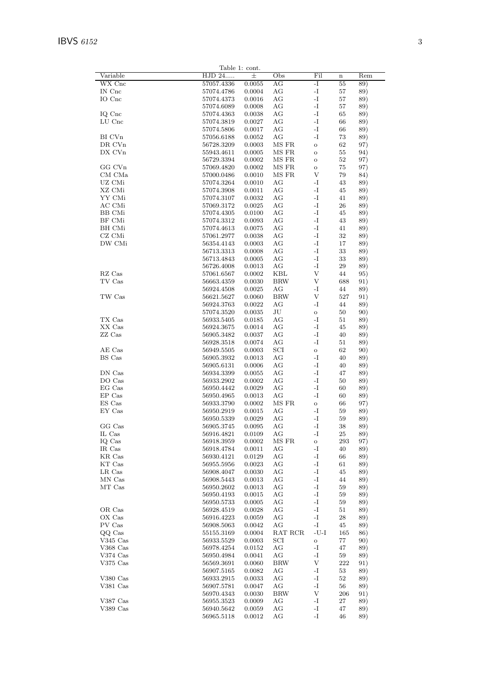| Fil<br>HJD 24<br>Rem<br>Variable<br>士<br>Obs<br>$\mathbf n$<br>WX Cnc<br>57057.4336<br>0.0055<br>AG<br>-I<br>55<br>89)<br>IN Cnc<br>$\mathbf{I}$<br>0.0004<br>АG<br>57<br>89)<br>57074.4786<br>-I<br>IO Cnc<br>0.0016<br>АG<br>57<br>89)<br>57074.4373<br>-I<br>57074.6089<br>0.0008<br>AG<br>57<br>89)<br>-I<br>IQ Cnc<br>57074.4363<br>0.0038<br>АG<br>65<br>89)<br>-I<br>LU Cnc<br>57074.3819<br>0.0027<br>AG<br>66<br>89)<br>-I<br>57074.5806<br>0.0017<br>АG<br>66<br>89)<br>BI CVn<br>AG<br>-I<br>73<br>0.0052<br>57056.6188<br>89)<br>DR CVn<br>56728.3209<br>0.0003<br>MS FR<br>62<br>97)<br>$\mathbf O$<br>MS FR<br>DX CVn<br>55943.4611<br>0.0005<br>55<br>94)<br>$\mathbf O$<br>MS FR<br>$52\,$<br>56729.3394<br>0.0002<br>97)<br>$\mathbf O$<br>MS FR<br>GG CVn<br>57069.4820<br>0.0002<br>75<br>97)<br>$\mathbf O$<br>MS FR<br>V<br>79<br>CM CMa<br>57000.0486<br>0.0010<br>84)<br>43<br>UZ CMi<br>0.0010<br>AG<br>-I<br>57074.3264<br>89)<br>XZ CMi<br>AG<br>-I<br>57074.3908<br>0.0011<br>45<br>89)<br>YY CMi<br>-I<br>57074.3107<br>0.0032<br>AG<br>41<br>89)<br>AC CMi<br>AG<br>-I<br>57069.3172<br>0.0025<br>26<br>89)<br>BB CMi<br>-I<br>57074.4305<br>0.0100<br>AG<br>45<br>89)<br>-I<br>BF CMi<br>57074.3312<br>0.0093<br>AG<br>43<br>89)<br>BH CMi<br>AG<br>-I<br>41<br>57074.4613<br>0.0075<br>89)<br>-I<br>CZ CMi<br>0.0038<br>AG<br>32<br>57061.2977<br>89)<br>-I<br>DW CMi<br>0.0003<br>AG<br>17<br>56354.4143<br>89)<br>-I<br>33<br>56713.3313<br>0.0008<br>AG<br>89)<br>-I<br>33<br>56713.4843<br>0.0005<br>АG<br>89)<br>56726.4008<br>0.0013<br>AG<br>-I<br>29<br>89)<br>RZ Cas<br>V<br>0.0002<br>KBL<br>44<br>57061.6567<br>95)<br>TV Cas<br>V<br>0.0030<br><b>BRW</b><br>688<br>56663.4359<br>91)<br>56924.4508<br>0.0025<br>AG<br>-I<br>44<br>89)<br>TW Cas<br>V<br>56621.5627<br>0.0060<br><b>BRW</b><br>527<br>91)<br>-I<br>56924.3763<br>0.0022<br>AG<br>44<br>89)<br>$\rm{J}U$<br>57074.3520<br>0.0035<br>50<br>90)<br>$\mathbf O$<br>TX Cas<br>-I<br>56933.5405<br>0.0185<br>AG<br>51<br>89)<br>XX Cas<br>AG<br>-I<br>0.0014<br>45<br>56924.3675<br>89)<br>-I<br>ZZ Cas<br>56905.3482<br>0.0037<br>AG<br>40<br>89)<br>-I<br>0.0074<br>AG<br>51<br>56928.3518<br>89)<br>AE Cas<br>SCI<br>62<br>56949.5505<br>0.0003<br>90)<br>$\mathbf O$<br>BS Cas<br>-I<br>56905.3932<br>0.0013<br>AG<br>40<br>89)<br>-I<br>$56905.6131\,$<br>0.0006<br>AG<br>40<br>89)<br>DN Cas<br>AG<br>-I<br>56934.3399<br>0.0055<br>47<br>89)<br>-I<br>DO Cas<br>56933.2902<br>0.0002<br>AG<br>50<br>89)<br>EG Cas<br>0.0029<br>AG<br>-1<br>60<br>56950.4442<br>89)<br>EP Cas<br>0.0013<br>AG<br>-I<br>60<br>56950.4965<br>89)<br>$\mathop{\hbox{\rm ES}}$ Cas<br>MS FR<br>56933.3790<br>0.0002<br>66<br>97)<br>$\mathbf O$<br>0.0015<br>AG<br>-I<br>EY Cas<br>56950.2919<br>59<br>89)<br>AG<br>-I<br>56950.5339<br>0.0029<br>59<br>89)<br>GG Cas<br>AG<br>-1<br>38<br>89)<br>56905.3745<br>0.0095<br>-I<br>IL Cas<br>0.0109<br>AG<br>25<br>89)<br>56916.4821<br>IQ Cas<br>0.0002<br>MS FR<br>293<br>56918.3959<br>97)<br>$\mathbf O$<br>-I<br>IR Cas<br>0.0011<br>AG<br>40<br>56918.4784<br>89)<br>-I<br>KR Cas<br>56930.4121<br>0.0129<br>AG<br>66<br>89)<br>KT Cas<br>-I<br>56955.5956<br>0.0023<br>AG<br>61<br>89)<br>-I<br>LR Cas<br>0.0030<br>AG<br>45<br>89)<br>56908.4047<br>-I<br>MN Cas<br>0.0013<br>AG<br>44<br>56908.5443<br>89)<br>MT Cas<br>56950.2602<br>0.0013<br>AG<br>-I<br>59<br>89)<br>-I<br>56950.4193<br>0.0015<br>AG<br>59<br>89)<br>-I<br>56950.5733<br>0.0005<br>АG<br>59<br>89)<br>OR Cas<br>-I<br>56928.4519<br>0.0028<br>АG<br>51<br>89)<br>OX Cas<br>-I<br>56916.4223<br>0.0059<br>AG<br>28<br>89)<br>PV Cas<br>AG<br>$\mathbf{-I}$<br>0.0042<br>45<br>56908.5063<br>89)<br>$-U-I$<br>QQ Cas<br>55155.3169<br>0.0004<br>RAT RCR<br>165<br>86)<br>$V345$ Cas<br>56933.5529<br>0.0003<br>SCI<br>77<br>90)<br>$\rm{O}$<br>AG<br>-I<br>V368 Cas<br>56978.4254<br>0.0152<br>47<br>89)<br>AG<br>-I<br>$V374$ Cas<br>0.0041<br>59<br>56950.4984<br>89)<br>V<br>$V375$ Cas<br>0.0060<br><b>BRW</b><br>222<br>56569.3691<br>91)<br>-I<br>56907.5165<br>0.0082<br>AG<br>53<br>89)<br>-I<br>V380 Cas<br>AG<br>52<br>56933.2915<br>0.0033<br>89)<br>-I<br>V381 Cas<br>0.0047<br>AG<br>56<br>56907.5781<br>89)<br>V<br>56970.4343<br>0.0030<br><b>BRW</b><br>206<br>91)<br>$27\,$<br>V387 Cas<br>56955.3523<br>0.0009<br>AG<br>-1<br>89)<br>V389 Cas<br>56940.5642<br>0.0059<br>AG<br>-1<br>47<br>89)<br>56965.5118<br>0.0012<br>AG<br>-1<br>46<br>89) | Table 1: cont. |  |  |  |  |  |  |  |  |  |
|-----------------------------------------------------------------------------------------------------------------------------------------------------------------------------------------------------------------------------------------------------------------------------------------------------------------------------------------------------------------------------------------------------------------------------------------------------------------------------------------------------------------------------------------------------------------------------------------------------------------------------------------------------------------------------------------------------------------------------------------------------------------------------------------------------------------------------------------------------------------------------------------------------------------------------------------------------------------------------------------------------------------------------------------------------------------------------------------------------------------------------------------------------------------------------------------------------------------------------------------------------------------------------------------------------------------------------------------------------------------------------------------------------------------------------------------------------------------------------------------------------------------------------------------------------------------------------------------------------------------------------------------------------------------------------------------------------------------------------------------------------------------------------------------------------------------------------------------------------------------------------------------------------------------------------------------------------------------------------------------------------------------------------------------------------------------------------------------------------------------------------------------------------------------------------------------------------------------------------------------------------------------------------------------------------------------------------------------------------------------------------------------------------------------------------------------------------------------------------------------------------------------------------------------------------------------------------------------------------------------------------------------------------------------------------------------------------------------------------------------------------------------------------------------------------------------------------------------------------------------------------------------------------------------------------------------------------------------------------------------------------------------------------------------------------------------------------------------------------------------------------------------------------------------------------------------------------------------------------------------------------------------------------------------------------------------------------------------------------------------------------------------------------------------------------------------------------------------------------------------------------------------------------------------------------------------------------------------------------------------------------------------------------------------------------------------------------------------------------------------------------------------------------------------------------------------------------------------------------------------------------------------------------------------------------------------------------------------------------------------------------------------------------------------------------------------------------------------------------------------------------------------------------------------------------------------------------------------------------------------------------------------------------------------------------------------------------------------------------------------------------------------------------------------------------------------------------------------------------------|----------------|--|--|--|--|--|--|--|--|--|
|                                                                                                                                                                                                                                                                                                                                                                                                                                                                                                                                                                                                                                                                                                                                                                                                                                                                                                                                                                                                                                                                                                                                                                                                                                                                                                                                                                                                                                                                                                                                                                                                                                                                                                                                                                                                                                                                                                                                                                                                                                                                                                                                                                                                                                                                                                                                                                                                                                                                                                                                                                                                                                                                                                                                                                                                                                                                                                                                                                                                                                                                                                                                                                                                                                                                                                                                                                                                                                                                                                                                                                                                                                                                                                                                                                                                                                                                                                                                                                                                                                                                                                                                                                                                                                                                                                                                                                                                                                                                                   |                |  |  |  |  |  |  |  |  |  |
|                                                                                                                                                                                                                                                                                                                                                                                                                                                                                                                                                                                                                                                                                                                                                                                                                                                                                                                                                                                                                                                                                                                                                                                                                                                                                                                                                                                                                                                                                                                                                                                                                                                                                                                                                                                                                                                                                                                                                                                                                                                                                                                                                                                                                                                                                                                                                                                                                                                                                                                                                                                                                                                                                                                                                                                                                                                                                                                                                                                                                                                                                                                                                                                                                                                                                                                                                                                                                                                                                                                                                                                                                                                                                                                                                                                                                                                                                                                                                                                                                                                                                                                                                                                                                                                                                                                                                                                                                                                                                   |                |  |  |  |  |  |  |  |  |  |
|                                                                                                                                                                                                                                                                                                                                                                                                                                                                                                                                                                                                                                                                                                                                                                                                                                                                                                                                                                                                                                                                                                                                                                                                                                                                                                                                                                                                                                                                                                                                                                                                                                                                                                                                                                                                                                                                                                                                                                                                                                                                                                                                                                                                                                                                                                                                                                                                                                                                                                                                                                                                                                                                                                                                                                                                                                                                                                                                                                                                                                                                                                                                                                                                                                                                                                                                                                                                                                                                                                                                                                                                                                                                                                                                                                                                                                                                                                                                                                                                                                                                                                                                                                                                                                                                                                                                                                                                                                                                                   |                |  |  |  |  |  |  |  |  |  |
|                                                                                                                                                                                                                                                                                                                                                                                                                                                                                                                                                                                                                                                                                                                                                                                                                                                                                                                                                                                                                                                                                                                                                                                                                                                                                                                                                                                                                                                                                                                                                                                                                                                                                                                                                                                                                                                                                                                                                                                                                                                                                                                                                                                                                                                                                                                                                                                                                                                                                                                                                                                                                                                                                                                                                                                                                                                                                                                                                                                                                                                                                                                                                                                                                                                                                                                                                                                                                                                                                                                                                                                                                                                                                                                                                                                                                                                                                                                                                                                                                                                                                                                                                                                                                                                                                                                                                                                                                                                                                   |                |  |  |  |  |  |  |  |  |  |
|                                                                                                                                                                                                                                                                                                                                                                                                                                                                                                                                                                                                                                                                                                                                                                                                                                                                                                                                                                                                                                                                                                                                                                                                                                                                                                                                                                                                                                                                                                                                                                                                                                                                                                                                                                                                                                                                                                                                                                                                                                                                                                                                                                                                                                                                                                                                                                                                                                                                                                                                                                                                                                                                                                                                                                                                                                                                                                                                                                                                                                                                                                                                                                                                                                                                                                                                                                                                                                                                                                                                                                                                                                                                                                                                                                                                                                                                                                                                                                                                                                                                                                                                                                                                                                                                                                                                                                                                                                                                                   |                |  |  |  |  |  |  |  |  |  |
|                                                                                                                                                                                                                                                                                                                                                                                                                                                                                                                                                                                                                                                                                                                                                                                                                                                                                                                                                                                                                                                                                                                                                                                                                                                                                                                                                                                                                                                                                                                                                                                                                                                                                                                                                                                                                                                                                                                                                                                                                                                                                                                                                                                                                                                                                                                                                                                                                                                                                                                                                                                                                                                                                                                                                                                                                                                                                                                                                                                                                                                                                                                                                                                                                                                                                                                                                                                                                                                                                                                                                                                                                                                                                                                                                                                                                                                                                                                                                                                                                                                                                                                                                                                                                                                                                                                                                                                                                                                                                   |                |  |  |  |  |  |  |  |  |  |
|                                                                                                                                                                                                                                                                                                                                                                                                                                                                                                                                                                                                                                                                                                                                                                                                                                                                                                                                                                                                                                                                                                                                                                                                                                                                                                                                                                                                                                                                                                                                                                                                                                                                                                                                                                                                                                                                                                                                                                                                                                                                                                                                                                                                                                                                                                                                                                                                                                                                                                                                                                                                                                                                                                                                                                                                                                                                                                                                                                                                                                                                                                                                                                                                                                                                                                                                                                                                                                                                                                                                                                                                                                                                                                                                                                                                                                                                                                                                                                                                                                                                                                                                                                                                                                                                                                                                                                                                                                                                                   |                |  |  |  |  |  |  |  |  |  |
|                                                                                                                                                                                                                                                                                                                                                                                                                                                                                                                                                                                                                                                                                                                                                                                                                                                                                                                                                                                                                                                                                                                                                                                                                                                                                                                                                                                                                                                                                                                                                                                                                                                                                                                                                                                                                                                                                                                                                                                                                                                                                                                                                                                                                                                                                                                                                                                                                                                                                                                                                                                                                                                                                                                                                                                                                                                                                                                                                                                                                                                                                                                                                                                                                                                                                                                                                                                                                                                                                                                                                                                                                                                                                                                                                                                                                                                                                                                                                                                                                                                                                                                                                                                                                                                                                                                                                                                                                                                                                   |                |  |  |  |  |  |  |  |  |  |
|                                                                                                                                                                                                                                                                                                                                                                                                                                                                                                                                                                                                                                                                                                                                                                                                                                                                                                                                                                                                                                                                                                                                                                                                                                                                                                                                                                                                                                                                                                                                                                                                                                                                                                                                                                                                                                                                                                                                                                                                                                                                                                                                                                                                                                                                                                                                                                                                                                                                                                                                                                                                                                                                                                                                                                                                                                                                                                                                                                                                                                                                                                                                                                                                                                                                                                                                                                                                                                                                                                                                                                                                                                                                                                                                                                                                                                                                                                                                                                                                                                                                                                                                                                                                                                                                                                                                                                                                                                                                                   |                |  |  |  |  |  |  |  |  |  |
|                                                                                                                                                                                                                                                                                                                                                                                                                                                                                                                                                                                                                                                                                                                                                                                                                                                                                                                                                                                                                                                                                                                                                                                                                                                                                                                                                                                                                                                                                                                                                                                                                                                                                                                                                                                                                                                                                                                                                                                                                                                                                                                                                                                                                                                                                                                                                                                                                                                                                                                                                                                                                                                                                                                                                                                                                                                                                                                                                                                                                                                                                                                                                                                                                                                                                                                                                                                                                                                                                                                                                                                                                                                                                                                                                                                                                                                                                                                                                                                                                                                                                                                                                                                                                                                                                                                                                                                                                                                                                   |                |  |  |  |  |  |  |  |  |  |
|                                                                                                                                                                                                                                                                                                                                                                                                                                                                                                                                                                                                                                                                                                                                                                                                                                                                                                                                                                                                                                                                                                                                                                                                                                                                                                                                                                                                                                                                                                                                                                                                                                                                                                                                                                                                                                                                                                                                                                                                                                                                                                                                                                                                                                                                                                                                                                                                                                                                                                                                                                                                                                                                                                                                                                                                                                                                                                                                                                                                                                                                                                                                                                                                                                                                                                                                                                                                                                                                                                                                                                                                                                                                                                                                                                                                                                                                                                                                                                                                                                                                                                                                                                                                                                                                                                                                                                                                                                                                                   |                |  |  |  |  |  |  |  |  |  |
|                                                                                                                                                                                                                                                                                                                                                                                                                                                                                                                                                                                                                                                                                                                                                                                                                                                                                                                                                                                                                                                                                                                                                                                                                                                                                                                                                                                                                                                                                                                                                                                                                                                                                                                                                                                                                                                                                                                                                                                                                                                                                                                                                                                                                                                                                                                                                                                                                                                                                                                                                                                                                                                                                                                                                                                                                                                                                                                                                                                                                                                                                                                                                                                                                                                                                                                                                                                                                                                                                                                                                                                                                                                                                                                                                                                                                                                                                                                                                                                                                                                                                                                                                                                                                                                                                                                                                                                                                                                                                   |                |  |  |  |  |  |  |  |  |  |
|                                                                                                                                                                                                                                                                                                                                                                                                                                                                                                                                                                                                                                                                                                                                                                                                                                                                                                                                                                                                                                                                                                                                                                                                                                                                                                                                                                                                                                                                                                                                                                                                                                                                                                                                                                                                                                                                                                                                                                                                                                                                                                                                                                                                                                                                                                                                                                                                                                                                                                                                                                                                                                                                                                                                                                                                                                                                                                                                                                                                                                                                                                                                                                                                                                                                                                                                                                                                                                                                                                                                                                                                                                                                                                                                                                                                                                                                                                                                                                                                                                                                                                                                                                                                                                                                                                                                                                                                                                                                                   |                |  |  |  |  |  |  |  |  |  |
|                                                                                                                                                                                                                                                                                                                                                                                                                                                                                                                                                                                                                                                                                                                                                                                                                                                                                                                                                                                                                                                                                                                                                                                                                                                                                                                                                                                                                                                                                                                                                                                                                                                                                                                                                                                                                                                                                                                                                                                                                                                                                                                                                                                                                                                                                                                                                                                                                                                                                                                                                                                                                                                                                                                                                                                                                                                                                                                                                                                                                                                                                                                                                                                                                                                                                                                                                                                                                                                                                                                                                                                                                                                                                                                                                                                                                                                                                                                                                                                                                                                                                                                                                                                                                                                                                                                                                                                                                                                                                   |                |  |  |  |  |  |  |  |  |  |
|                                                                                                                                                                                                                                                                                                                                                                                                                                                                                                                                                                                                                                                                                                                                                                                                                                                                                                                                                                                                                                                                                                                                                                                                                                                                                                                                                                                                                                                                                                                                                                                                                                                                                                                                                                                                                                                                                                                                                                                                                                                                                                                                                                                                                                                                                                                                                                                                                                                                                                                                                                                                                                                                                                                                                                                                                                                                                                                                                                                                                                                                                                                                                                                                                                                                                                                                                                                                                                                                                                                                                                                                                                                                                                                                                                                                                                                                                                                                                                                                                                                                                                                                                                                                                                                                                                                                                                                                                                                                                   |                |  |  |  |  |  |  |  |  |  |
|                                                                                                                                                                                                                                                                                                                                                                                                                                                                                                                                                                                                                                                                                                                                                                                                                                                                                                                                                                                                                                                                                                                                                                                                                                                                                                                                                                                                                                                                                                                                                                                                                                                                                                                                                                                                                                                                                                                                                                                                                                                                                                                                                                                                                                                                                                                                                                                                                                                                                                                                                                                                                                                                                                                                                                                                                                                                                                                                                                                                                                                                                                                                                                                                                                                                                                                                                                                                                                                                                                                                                                                                                                                                                                                                                                                                                                                                                                                                                                                                                                                                                                                                                                                                                                                                                                                                                                                                                                                                                   |                |  |  |  |  |  |  |  |  |  |
|                                                                                                                                                                                                                                                                                                                                                                                                                                                                                                                                                                                                                                                                                                                                                                                                                                                                                                                                                                                                                                                                                                                                                                                                                                                                                                                                                                                                                                                                                                                                                                                                                                                                                                                                                                                                                                                                                                                                                                                                                                                                                                                                                                                                                                                                                                                                                                                                                                                                                                                                                                                                                                                                                                                                                                                                                                                                                                                                                                                                                                                                                                                                                                                                                                                                                                                                                                                                                                                                                                                                                                                                                                                                                                                                                                                                                                                                                                                                                                                                                                                                                                                                                                                                                                                                                                                                                                                                                                                                                   |                |  |  |  |  |  |  |  |  |  |
|                                                                                                                                                                                                                                                                                                                                                                                                                                                                                                                                                                                                                                                                                                                                                                                                                                                                                                                                                                                                                                                                                                                                                                                                                                                                                                                                                                                                                                                                                                                                                                                                                                                                                                                                                                                                                                                                                                                                                                                                                                                                                                                                                                                                                                                                                                                                                                                                                                                                                                                                                                                                                                                                                                                                                                                                                                                                                                                                                                                                                                                                                                                                                                                                                                                                                                                                                                                                                                                                                                                                                                                                                                                                                                                                                                                                                                                                                                                                                                                                                                                                                                                                                                                                                                                                                                                                                                                                                                                                                   |                |  |  |  |  |  |  |  |  |  |
|                                                                                                                                                                                                                                                                                                                                                                                                                                                                                                                                                                                                                                                                                                                                                                                                                                                                                                                                                                                                                                                                                                                                                                                                                                                                                                                                                                                                                                                                                                                                                                                                                                                                                                                                                                                                                                                                                                                                                                                                                                                                                                                                                                                                                                                                                                                                                                                                                                                                                                                                                                                                                                                                                                                                                                                                                                                                                                                                                                                                                                                                                                                                                                                                                                                                                                                                                                                                                                                                                                                                                                                                                                                                                                                                                                                                                                                                                                                                                                                                                                                                                                                                                                                                                                                                                                                                                                                                                                                                                   |                |  |  |  |  |  |  |  |  |  |
|                                                                                                                                                                                                                                                                                                                                                                                                                                                                                                                                                                                                                                                                                                                                                                                                                                                                                                                                                                                                                                                                                                                                                                                                                                                                                                                                                                                                                                                                                                                                                                                                                                                                                                                                                                                                                                                                                                                                                                                                                                                                                                                                                                                                                                                                                                                                                                                                                                                                                                                                                                                                                                                                                                                                                                                                                                                                                                                                                                                                                                                                                                                                                                                                                                                                                                                                                                                                                                                                                                                                                                                                                                                                                                                                                                                                                                                                                                                                                                                                                                                                                                                                                                                                                                                                                                                                                                                                                                                                                   |                |  |  |  |  |  |  |  |  |  |
|                                                                                                                                                                                                                                                                                                                                                                                                                                                                                                                                                                                                                                                                                                                                                                                                                                                                                                                                                                                                                                                                                                                                                                                                                                                                                                                                                                                                                                                                                                                                                                                                                                                                                                                                                                                                                                                                                                                                                                                                                                                                                                                                                                                                                                                                                                                                                                                                                                                                                                                                                                                                                                                                                                                                                                                                                                                                                                                                                                                                                                                                                                                                                                                                                                                                                                                                                                                                                                                                                                                                                                                                                                                                                                                                                                                                                                                                                                                                                                                                                                                                                                                                                                                                                                                                                                                                                                                                                                                                                   |                |  |  |  |  |  |  |  |  |  |
|                                                                                                                                                                                                                                                                                                                                                                                                                                                                                                                                                                                                                                                                                                                                                                                                                                                                                                                                                                                                                                                                                                                                                                                                                                                                                                                                                                                                                                                                                                                                                                                                                                                                                                                                                                                                                                                                                                                                                                                                                                                                                                                                                                                                                                                                                                                                                                                                                                                                                                                                                                                                                                                                                                                                                                                                                                                                                                                                                                                                                                                                                                                                                                                                                                                                                                                                                                                                                                                                                                                                                                                                                                                                                                                                                                                                                                                                                                                                                                                                                                                                                                                                                                                                                                                                                                                                                                                                                                                                                   |                |  |  |  |  |  |  |  |  |  |
|                                                                                                                                                                                                                                                                                                                                                                                                                                                                                                                                                                                                                                                                                                                                                                                                                                                                                                                                                                                                                                                                                                                                                                                                                                                                                                                                                                                                                                                                                                                                                                                                                                                                                                                                                                                                                                                                                                                                                                                                                                                                                                                                                                                                                                                                                                                                                                                                                                                                                                                                                                                                                                                                                                                                                                                                                                                                                                                                                                                                                                                                                                                                                                                                                                                                                                                                                                                                                                                                                                                                                                                                                                                                                                                                                                                                                                                                                                                                                                                                                                                                                                                                                                                                                                                                                                                                                                                                                                                                                   |                |  |  |  |  |  |  |  |  |  |
|                                                                                                                                                                                                                                                                                                                                                                                                                                                                                                                                                                                                                                                                                                                                                                                                                                                                                                                                                                                                                                                                                                                                                                                                                                                                                                                                                                                                                                                                                                                                                                                                                                                                                                                                                                                                                                                                                                                                                                                                                                                                                                                                                                                                                                                                                                                                                                                                                                                                                                                                                                                                                                                                                                                                                                                                                                                                                                                                                                                                                                                                                                                                                                                                                                                                                                                                                                                                                                                                                                                                                                                                                                                                                                                                                                                                                                                                                                                                                                                                                                                                                                                                                                                                                                                                                                                                                                                                                                                                                   |                |  |  |  |  |  |  |  |  |  |
|                                                                                                                                                                                                                                                                                                                                                                                                                                                                                                                                                                                                                                                                                                                                                                                                                                                                                                                                                                                                                                                                                                                                                                                                                                                                                                                                                                                                                                                                                                                                                                                                                                                                                                                                                                                                                                                                                                                                                                                                                                                                                                                                                                                                                                                                                                                                                                                                                                                                                                                                                                                                                                                                                                                                                                                                                                                                                                                                                                                                                                                                                                                                                                                                                                                                                                                                                                                                                                                                                                                                                                                                                                                                                                                                                                                                                                                                                                                                                                                                                                                                                                                                                                                                                                                                                                                                                                                                                                                                                   |                |  |  |  |  |  |  |  |  |  |
|                                                                                                                                                                                                                                                                                                                                                                                                                                                                                                                                                                                                                                                                                                                                                                                                                                                                                                                                                                                                                                                                                                                                                                                                                                                                                                                                                                                                                                                                                                                                                                                                                                                                                                                                                                                                                                                                                                                                                                                                                                                                                                                                                                                                                                                                                                                                                                                                                                                                                                                                                                                                                                                                                                                                                                                                                                                                                                                                                                                                                                                                                                                                                                                                                                                                                                                                                                                                                                                                                                                                                                                                                                                                                                                                                                                                                                                                                                                                                                                                                                                                                                                                                                                                                                                                                                                                                                                                                                                                                   |                |  |  |  |  |  |  |  |  |  |
|                                                                                                                                                                                                                                                                                                                                                                                                                                                                                                                                                                                                                                                                                                                                                                                                                                                                                                                                                                                                                                                                                                                                                                                                                                                                                                                                                                                                                                                                                                                                                                                                                                                                                                                                                                                                                                                                                                                                                                                                                                                                                                                                                                                                                                                                                                                                                                                                                                                                                                                                                                                                                                                                                                                                                                                                                                                                                                                                                                                                                                                                                                                                                                                                                                                                                                                                                                                                                                                                                                                                                                                                                                                                                                                                                                                                                                                                                                                                                                                                                                                                                                                                                                                                                                                                                                                                                                                                                                                                                   |                |  |  |  |  |  |  |  |  |  |
|                                                                                                                                                                                                                                                                                                                                                                                                                                                                                                                                                                                                                                                                                                                                                                                                                                                                                                                                                                                                                                                                                                                                                                                                                                                                                                                                                                                                                                                                                                                                                                                                                                                                                                                                                                                                                                                                                                                                                                                                                                                                                                                                                                                                                                                                                                                                                                                                                                                                                                                                                                                                                                                                                                                                                                                                                                                                                                                                                                                                                                                                                                                                                                                                                                                                                                                                                                                                                                                                                                                                                                                                                                                                                                                                                                                                                                                                                                                                                                                                                                                                                                                                                                                                                                                                                                                                                                                                                                                                                   |                |  |  |  |  |  |  |  |  |  |
|                                                                                                                                                                                                                                                                                                                                                                                                                                                                                                                                                                                                                                                                                                                                                                                                                                                                                                                                                                                                                                                                                                                                                                                                                                                                                                                                                                                                                                                                                                                                                                                                                                                                                                                                                                                                                                                                                                                                                                                                                                                                                                                                                                                                                                                                                                                                                                                                                                                                                                                                                                                                                                                                                                                                                                                                                                                                                                                                                                                                                                                                                                                                                                                                                                                                                                                                                                                                                                                                                                                                                                                                                                                                                                                                                                                                                                                                                                                                                                                                                                                                                                                                                                                                                                                                                                                                                                                                                                                                                   |                |  |  |  |  |  |  |  |  |  |
|                                                                                                                                                                                                                                                                                                                                                                                                                                                                                                                                                                                                                                                                                                                                                                                                                                                                                                                                                                                                                                                                                                                                                                                                                                                                                                                                                                                                                                                                                                                                                                                                                                                                                                                                                                                                                                                                                                                                                                                                                                                                                                                                                                                                                                                                                                                                                                                                                                                                                                                                                                                                                                                                                                                                                                                                                                                                                                                                                                                                                                                                                                                                                                                                                                                                                                                                                                                                                                                                                                                                                                                                                                                                                                                                                                                                                                                                                                                                                                                                                                                                                                                                                                                                                                                                                                                                                                                                                                                                                   |                |  |  |  |  |  |  |  |  |  |
|                                                                                                                                                                                                                                                                                                                                                                                                                                                                                                                                                                                                                                                                                                                                                                                                                                                                                                                                                                                                                                                                                                                                                                                                                                                                                                                                                                                                                                                                                                                                                                                                                                                                                                                                                                                                                                                                                                                                                                                                                                                                                                                                                                                                                                                                                                                                                                                                                                                                                                                                                                                                                                                                                                                                                                                                                                                                                                                                                                                                                                                                                                                                                                                                                                                                                                                                                                                                                                                                                                                                                                                                                                                                                                                                                                                                                                                                                                                                                                                                                                                                                                                                                                                                                                                                                                                                                                                                                                                                                   |                |  |  |  |  |  |  |  |  |  |
|                                                                                                                                                                                                                                                                                                                                                                                                                                                                                                                                                                                                                                                                                                                                                                                                                                                                                                                                                                                                                                                                                                                                                                                                                                                                                                                                                                                                                                                                                                                                                                                                                                                                                                                                                                                                                                                                                                                                                                                                                                                                                                                                                                                                                                                                                                                                                                                                                                                                                                                                                                                                                                                                                                                                                                                                                                                                                                                                                                                                                                                                                                                                                                                                                                                                                                                                                                                                                                                                                                                                                                                                                                                                                                                                                                                                                                                                                                                                                                                                                                                                                                                                                                                                                                                                                                                                                                                                                                                                                   |                |  |  |  |  |  |  |  |  |  |
|                                                                                                                                                                                                                                                                                                                                                                                                                                                                                                                                                                                                                                                                                                                                                                                                                                                                                                                                                                                                                                                                                                                                                                                                                                                                                                                                                                                                                                                                                                                                                                                                                                                                                                                                                                                                                                                                                                                                                                                                                                                                                                                                                                                                                                                                                                                                                                                                                                                                                                                                                                                                                                                                                                                                                                                                                                                                                                                                                                                                                                                                                                                                                                                                                                                                                                                                                                                                                                                                                                                                                                                                                                                                                                                                                                                                                                                                                                                                                                                                                                                                                                                                                                                                                                                                                                                                                                                                                                                                                   |                |  |  |  |  |  |  |  |  |  |
|                                                                                                                                                                                                                                                                                                                                                                                                                                                                                                                                                                                                                                                                                                                                                                                                                                                                                                                                                                                                                                                                                                                                                                                                                                                                                                                                                                                                                                                                                                                                                                                                                                                                                                                                                                                                                                                                                                                                                                                                                                                                                                                                                                                                                                                                                                                                                                                                                                                                                                                                                                                                                                                                                                                                                                                                                                                                                                                                                                                                                                                                                                                                                                                                                                                                                                                                                                                                                                                                                                                                                                                                                                                                                                                                                                                                                                                                                                                                                                                                                                                                                                                                                                                                                                                                                                                                                                                                                                                                                   |                |  |  |  |  |  |  |  |  |  |
|                                                                                                                                                                                                                                                                                                                                                                                                                                                                                                                                                                                                                                                                                                                                                                                                                                                                                                                                                                                                                                                                                                                                                                                                                                                                                                                                                                                                                                                                                                                                                                                                                                                                                                                                                                                                                                                                                                                                                                                                                                                                                                                                                                                                                                                                                                                                                                                                                                                                                                                                                                                                                                                                                                                                                                                                                                                                                                                                                                                                                                                                                                                                                                                                                                                                                                                                                                                                                                                                                                                                                                                                                                                                                                                                                                                                                                                                                                                                                                                                                                                                                                                                                                                                                                                                                                                                                                                                                                                                                   |                |  |  |  |  |  |  |  |  |  |
|                                                                                                                                                                                                                                                                                                                                                                                                                                                                                                                                                                                                                                                                                                                                                                                                                                                                                                                                                                                                                                                                                                                                                                                                                                                                                                                                                                                                                                                                                                                                                                                                                                                                                                                                                                                                                                                                                                                                                                                                                                                                                                                                                                                                                                                                                                                                                                                                                                                                                                                                                                                                                                                                                                                                                                                                                                                                                                                                                                                                                                                                                                                                                                                                                                                                                                                                                                                                                                                                                                                                                                                                                                                                                                                                                                                                                                                                                                                                                                                                                                                                                                                                                                                                                                                                                                                                                                                                                                                                                   |                |  |  |  |  |  |  |  |  |  |
|                                                                                                                                                                                                                                                                                                                                                                                                                                                                                                                                                                                                                                                                                                                                                                                                                                                                                                                                                                                                                                                                                                                                                                                                                                                                                                                                                                                                                                                                                                                                                                                                                                                                                                                                                                                                                                                                                                                                                                                                                                                                                                                                                                                                                                                                                                                                                                                                                                                                                                                                                                                                                                                                                                                                                                                                                                                                                                                                                                                                                                                                                                                                                                                                                                                                                                                                                                                                                                                                                                                                                                                                                                                                                                                                                                                                                                                                                                                                                                                                                                                                                                                                                                                                                                                                                                                                                                                                                                                                                   |                |  |  |  |  |  |  |  |  |  |
|                                                                                                                                                                                                                                                                                                                                                                                                                                                                                                                                                                                                                                                                                                                                                                                                                                                                                                                                                                                                                                                                                                                                                                                                                                                                                                                                                                                                                                                                                                                                                                                                                                                                                                                                                                                                                                                                                                                                                                                                                                                                                                                                                                                                                                                                                                                                                                                                                                                                                                                                                                                                                                                                                                                                                                                                                                                                                                                                                                                                                                                                                                                                                                                                                                                                                                                                                                                                                                                                                                                                                                                                                                                                                                                                                                                                                                                                                                                                                                                                                                                                                                                                                                                                                                                                                                                                                                                                                                                                                   |                |  |  |  |  |  |  |  |  |  |
|                                                                                                                                                                                                                                                                                                                                                                                                                                                                                                                                                                                                                                                                                                                                                                                                                                                                                                                                                                                                                                                                                                                                                                                                                                                                                                                                                                                                                                                                                                                                                                                                                                                                                                                                                                                                                                                                                                                                                                                                                                                                                                                                                                                                                                                                                                                                                                                                                                                                                                                                                                                                                                                                                                                                                                                                                                                                                                                                                                                                                                                                                                                                                                                                                                                                                                                                                                                                                                                                                                                                                                                                                                                                                                                                                                                                                                                                                                                                                                                                                                                                                                                                                                                                                                                                                                                                                                                                                                                                                   |                |  |  |  |  |  |  |  |  |  |
|                                                                                                                                                                                                                                                                                                                                                                                                                                                                                                                                                                                                                                                                                                                                                                                                                                                                                                                                                                                                                                                                                                                                                                                                                                                                                                                                                                                                                                                                                                                                                                                                                                                                                                                                                                                                                                                                                                                                                                                                                                                                                                                                                                                                                                                                                                                                                                                                                                                                                                                                                                                                                                                                                                                                                                                                                                                                                                                                                                                                                                                                                                                                                                                                                                                                                                                                                                                                                                                                                                                                                                                                                                                                                                                                                                                                                                                                                                                                                                                                                                                                                                                                                                                                                                                                                                                                                                                                                                                                                   |                |  |  |  |  |  |  |  |  |  |
|                                                                                                                                                                                                                                                                                                                                                                                                                                                                                                                                                                                                                                                                                                                                                                                                                                                                                                                                                                                                                                                                                                                                                                                                                                                                                                                                                                                                                                                                                                                                                                                                                                                                                                                                                                                                                                                                                                                                                                                                                                                                                                                                                                                                                                                                                                                                                                                                                                                                                                                                                                                                                                                                                                                                                                                                                                                                                                                                                                                                                                                                                                                                                                                                                                                                                                                                                                                                                                                                                                                                                                                                                                                                                                                                                                                                                                                                                                                                                                                                                                                                                                                                                                                                                                                                                                                                                                                                                                                                                   |                |  |  |  |  |  |  |  |  |  |
|                                                                                                                                                                                                                                                                                                                                                                                                                                                                                                                                                                                                                                                                                                                                                                                                                                                                                                                                                                                                                                                                                                                                                                                                                                                                                                                                                                                                                                                                                                                                                                                                                                                                                                                                                                                                                                                                                                                                                                                                                                                                                                                                                                                                                                                                                                                                                                                                                                                                                                                                                                                                                                                                                                                                                                                                                                                                                                                                                                                                                                                                                                                                                                                                                                                                                                                                                                                                                                                                                                                                                                                                                                                                                                                                                                                                                                                                                                                                                                                                                                                                                                                                                                                                                                                                                                                                                                                                                                                                                   |                |  |  |  |  |  |  |  |  |  |
|                                                                                                                                                                                                                                                                                                                                                                                                                                                                                                                                                                                                                                                                                                                                                                                                                                                                                                                                                                                                                                                                                                                                                                                                                                                                                                                                                                                                                                                                                                                                                                                                                                                                                                                                                                                                                                                                                                                                                                                                                                                                                                                                                                                                                                                                                                                                                                                                                                                                                                                                                                                                                                                                                                                                                                                                                                                                                                                                                                                                                                                                                                                                                                                                                                                                                                                                                                                                                                                                                                                                                                                                                                                                                                                                                                                                                                                                                                                                                                                                                                                                                                                                                                                                                                                                                                                                                                                                                                                                                   |                |  |  |  |  |  |  |  |  |  |
|                                                                                                                                                                                                                                                                                                                                                                                                                                                                                                                                                                                                                                                                                                                                                                                                                                                                                                                                                                                                                                                                                                                                                                                                                                                                                                                                                                                                                                                                                                                                                                                                                                                                                                                                                                                                                                                                                                                                                                                                                                                                                                                                                                                                                                                                                                                                                                                                                                                                                                                                                                                                                                                                                                                                                                                                                                                                                                                                                                                                                                                                                                                                                                                                                                                                                                                                                                                                                                                                                                                                                                                                                                                                                                                                                                                                                                                                                                                                                                                                                                                                                                                                                                                                                                                                                                                                                                                                                                                                                   |                |  |  |  |  |  |  |  |  |  |
|                                                                                                                                                                                                                                                                                                                                                                                                                                                                                                                                                                                                                                                                                                                                                                                                                                                                                                                                                                                                                                                                                                                                                                                                                                                                                                                                                                                                                                                                                                                                                                                                                                                                                                                                                                                                                                                                                                                                                                                                                                                                                                                                                                                                                                                                                                                                                                                                                                                                                                                                                                                                                                                                                                                                                                                                                                                                                                                                                                                                                                                                                                                                                                                                                                                                                                                                                                                                                                                                                                                                                                                                                                                                                                                                                                                                                                                                                                                                                                                                                                                                                                                                                                                                                                                                                                                                                                                                                                                                                   |                |  |  |  |  |  |  |  |  |  |
|                                                                                                                                                                                                                                                                                                                                                                                                                                                                                                                                                                                                                                                                                                                                                                                                                                                                                                                                                                                                                                                                                                                                                                                                                                                                                                                                                                                                                                                                                                                                                                                                                                                                                                                                                                                                                                                                                                                                                                                                                                                                                                                                                                                                                                                                                                                                                                                                                                                                                                                                                                                                                                                                                                                                                                                                                                                                                                                                                                                                                                                                                                                                                                                                                                                                                                                                                                                                                                                                                                                                                                                                                                                                                                                                                                                                                                                                                                                                                                                                                                                                                                                                                                                                                                                                                                                                                                                                                                                                                   |                |  |  |  |  |  |  |  |  |  |
|                                                                                                                                                                                                                                                                                                                                                                                                                                                                                                                                                                                                                                                                                                                                                                                                                                                                                                                                                                                                                                                                                                                                                                                                                                                                                                                                                                                                                                                                                                                                                                                                                                                                                                                                                                                                                                                                                                                                                                                                                                                                                                                                                                                                                                                                                                                                                                                                                                                                                                                                                                                                                                                                                                                                                                                                                                                                                                                                                                                                                                                                                                                                                                                                                                                                                                                                                                                                                                                                                                                                                                                                                                                                                                                                                                                                                                                                                                                                                                                                                                                                                                                                                                                                                                                                                                                                                                                                                                                                                   |                |  |  |  |  |  |  |  |  |  |
|                                                                                                                                                                                                                                                                                                                                                                                                                                                                                                                                                                                                                                                                                                                                                                                                                                                                                                                                                                                                                                                                                                                                                                                                                                                                                                                                                                                                                                                                                                                                                                                                                                                                                                                                                                                                                                                                                                                                                                                                                                                                                                                                                                                                                                                                                                                                                                                                                                                                                                                                                                                                                                                                                                                                                                                                                                                                                                                                                                                                                                                                                                                                                                                                                                                                                                                                                                                                                                                                                                                                                                                                                                                                                                                                                                                                                                                                                                                                                                                                                                                                                                                                                                                                                                                                                                                                                                                                                                                                                   |                |  |  |  |  |  |  |  |  |  |
|                                                                                                                                                                                                                                                                                                                                                                                                                                                                                                                                                                                                                                                                                                                                                                                                                                                                                                                                                                                                                                                                                                                                                                                                                                                                                                                                                                                                                                                                                                                                                                                                                                                                                                                                                                                                                                                                                                                                                                                                                                                                                                                                                                                                                                                                                                                                                                                                                                                                                                                                                                                                                                                                                                                                                                                                                                                                                                                                                                                                                                                                                                                                                                                                                                                                                                                                                                                                                                                                                                                                                                                                                                                                                                                                                                                                                                                                                                                                                                                                                                                                                                                                                                                                                                                                                                                                                                                                                                                                                   |                |  |  |  |  |  |  |  |  |  |
|                                                                                                                                                                                                                                                                                                                                                                                                                                                                                                                                                                                                                                                                                                                                                                                                                                                                                                                                                                                                                                                                                                                                                                                                                                                                                                                                                                                                                                                                                                                                                                                                                                                                                                                                                                                                                                                                                                                                                                                                                                                                                                                                                                                                                                                                                                                                                                                                                                                                                                                                                                                                                                                                                                                                                                                                                                                                                                                                                                                                                                                                                                                                                                                                                                                                                                                                                                                                                                                                                                                                                                                                                                                                                                                                                                                                                                                                                                                                                                                                                                                                                                                                                                                                                                                                                                                                                                                                                                                                                   |                |  |  |  |  |  |  |  |  |  |
|                                                                                                                                                                                                                                                                                                                                                                                                                                                                                                                                                                                                                                                                                                                                                                                                                                                                                                                                                                                                                                                                                                                                                                                                                                                                                                                                                                                                                                                                                                                                                                                                                                                                                                                                                                                                                                                                                                                                                                                                                                                                                                                                                                                                                                                                                                                                                                                                                                                                                                                                                                                                                                                                                                                                                                                                                                                                                                                                                                                                                                                                                                                                                                                                                                                                                                                                                                                                                                                                                                                                                                                                                                                                                                                                                                                                                                                                                                                                                                                                                                                                                                                                                                                                                                                                                                                                                                                                                                                                                   |                |  |  |  |  |  |  |  |  |  |
|                                                                                                                                                                                                                                                                                                                                                                                                                                                                                                                                                                                                                                                                                                                                                                                                                                                                                                                                                                                                                                                                                                                                                                                                                                                                                                                                                                                                                                                                                                                                                                                                                                                                                                                                                                                                                                                                                                                                                                                                                                                                                                                                                                                                                                                                                                                                                                                                                                                                                                                                                                                                                                                                                                                                                                                                                                                                                                                                                                                                                                                                                                                                                                                                                                                                                                                                                                                                                                                                                                                                                                                                                                                                                                                                                                                                                                                                                                                                                                                                                                                                                                                                                                                                                                                                                                                                                                                                                                                                                   |                |  |  |  |  |  |  |  |  |  |
|                                                                                                                                                                                                                                                                                                                                                                                                                                                                                                                                                                                                                                                                                                                                                                                                                                                                                                                                                                                                                                                                                                                                                                                                                                                                                                                                                                                                                                                                                                                                                                                                                                                                                                                                                                                                                                                                                                                                                                                                                                                                                                                                                                                                                                                                                                                                                                                                                                                                                                                                                                                                                                                                                                                                                                                                                                                                                                                                                                                                                                                                                                                                                                                                                                                                                                                                                                                                                                                                                                                                                                                                                                                                                                                                                                                                                                                                                                                                                                                                                                                                                                                                                                                                                                                                                                                                                                                                                                                                                   |                |  |  |  |  |  |  |  |  |  |
|                                                                                                                                                                                                                                                                                                                                                                                                                                                                                                                                                                                                                                                                                                                                                                                                                                                                                                                                                                                                                                                                                                                                                                                                                                                                                                                                                                                                                                                                                                                                                                                                                                                                                                                                                                                                                                                                                                                                                                                                                                                                                                                                                                                                                                                                                                                                                                                                                                                                                                                                                                                                                                                                                                                                                                                                                                                                                                                                                                                                                                                                                                                                                                                                                                                                                                                                                                                                                                                                                                                                                                                                                                                                                                                                                                                                                                                                                                                                                                                                                                                                                                                                                                                                                                                                                                                                                                                                                                                                                   |                |  |  |  |  |  |  |  |  |  |
|                                                                                                                                                                                                                                                                                                                                                                                                                                                                                                                                                                                                                                                                                                                                                                                                                                                                                                                                                                                                                                                                                                                                                                                                                                                                                                                                                                                                                                                                                                                                                                                                                                                                                                                                                                                                                                                                                                                                                                                                                                                                                                                                                                                                                                                                                                                                                                                                                                                                                                                                                                                                                                                                                                                                                                                                                                                                                                                                                                                                                                                                                                                                                                                                                                                                                                                                                                                                                                                                                                                                                                                                                                                                                                                                                                                                                                                                                                                                                                                                                                                                                                                                                                                                                                                                                                                                                                                                                                                                                   |                |  |  |  |  |  |  |  |  |  |
|                                                                                                                                                                                                                                                                                                                                                                                                                                                                                                                                                                                                                                                                                                                                                                                                                                                                                                                                                                                                                                                                                                                                                                                                                                                                                                                                                                                                                                                                                                                                                                                                                                                                                                                                                                                                                                                                                                                                                                                                                                                                                                                                                                                                                                                                                                                                                                                                                                                                                                                                                                                                                                                                                                                                                                                                                                                                                                                                                                                                                                                                                                                                                                                                                                                                                                                                                                                                                                                                                                                                                                                                                                                                                                                                                                                                                                                                                                                                                                                                                                                                                                                                                                                                                                                                                                                                                                                                                                                                                   |                |  |  |  |  |  |  |  |  |  |
|                                                                                                                                                                                                                                                                                                                                                                                                                                                                                                                                                                                                                                                                                                                                                                                                                                                                                                                                                                                                                                                                                                                                                                                                                                                                                                                                                                                                                                                                                                                                                                                                                                                                                                                                                                                                                                                                                                                                                                                                                                                                                                                                                                                                                                                                                                                                                                                                                                                                                                                                                                                                                                                                                                                                                                                                                                                                                                                                                                                                                                                                                                                                                                                                                                                                                                                                                                                                                                                                                                                                                                                                                                                                                                                                                                                                                                                                                                                                                                                                                                                                                                                                                                                                                                                                                                                                                                                                                                                                                   |                |  |  |  |  |  |  |  |  |  |
|                                                                                                                                                                                                                                                                                                                                                                                                                                                                                                                                                                                                                                                                                                                                                                                                                                                                                                                                                                                                                                                                                                                                                                                                                                                                                                                                                                                                                                                                                                                                                                                                                                                                                                                                                                                                                                                                                                                                                                                                                                                                                                                                                                                                                                                                                                                                                                                                                                                                                                                                                                                                                                                                                                                                                                                                                                                                                                                                                                                                                                                                                                                                                                                                                                                                                                                                                                                                                                                                                                                                                                                                                                                                                                                                                                                                                                                                                                                                                                                                                                                                                                                                                                                                                                                                                                                                                                                                                                                                                   |                |  |  |  |  |  |  |  |  |  |
|                                                                                                                                                                                                                                                                                                                                                                                                                                                                                                                                                                                                                                                                                                                                                                                                                                                                                                                                                                                                                                                                                                                                                                                                                                                                                                                                                                                                                                                                                                                                                                                                                                                                                                                                                                                                                                                                                                                                                                                                                                                                                                                                                                                                                                                                                                                                                                                                                                                                                                                                                                                                                                                                                                                                                                                                                                                                                                                                                                                                                                                                                                                                                                                                                                                                                                                                                                                                                                                                                                                                                                                                                                                                                                                                                                                                                                                                                                                                                                                                                                                                                                                                                                                                                                                                                                                                                                                                                                                                                   |                |  |  |  |  |  |  |  |  |  |
|                                                                                                                                                                                                                                                                                                                                                                                                                                                                                                                                                                                                                                                                                                                                                                                                                                                                                                                                                                                                                                                                                                                                                                                                                                                                                                                                                                                                                                                                                                                                                                                                                                                                                                                                                                                                                                                                                                                                                                                                                                                                                                                                                                                                                                                                                                                                                                                                                                                                                                                                                                                                                                                                                                                                                                                                                                                                                                                                                                                                                                                                                                                                                                                                                                                                                                                                                                                                                                                                                                                                                                                                                                                                                                                                                                                                                                                                                                                                                                                                                                                                                                                                                                                                                                                                                                                                                                                                                                                                                   |                |  |  |  |  |  |  |  |  |  |
|                                                                                                                                                                                                                                                                                                                                                                                                                                                                                                                                                                                                                                                                                                                                                                                                                                                                                                                                                                                                                                                                                                                                                                                                                                                                                                                                                                                                                                                                                                                                                                                                                                                                                                                                                                                                                                                                                                                                                                                                                                                                                                                                                                                                                                                                                                                                                                                                                                                                                                                                                                                                                                                                                                                                                                                                                                                                                                                                                                                                                                                                                                                                                                                                                                                                                                                                                                                                                                                                                                                                                                                                                                                                                                                                                                                                                                                                                                                                                                                                                                                                                                                                                                                                                                                                                                                                                                                                                                                                                   |                |  |  |  |  |  |  |  |  |  |
|                                                                                                                                                                                                                                                                                                                                                                                                                                                                                                                                                                                                                                                                                                                                                                                                                                                                                                                                                                                                                                                                                                                                                                                                                                                                                                                                                                                                                                                                                                                                                                                                                                                                                                                                                                                                                                                                                                                                                                                                                                                                                                                                                                                                                                                                                                                                                                                                                                                                                                                                                                                                                                                                                                                                                                                                                                                                                                                                                                                                                                                                                                                                                                                                                                                                                                                                                                                                                                                                                                                                                                                                                                                                                                                                                                                                                                                                                                                                                                                                                                                                                                                                                                                                                                                                                                                                                                                                                                                                                   |                |  |  |  |  |  |  |  |  |  |
|                                                                                                                                                                                                                                                                                                                                                                                                                                                                                                                                                                                                                                                                                                                                                                                                                                                                                                                                                                                                                                                                                                                                                                                                                                                                                                                                                                                                                                                                                                                                                                                                                                                                                                                                                                                                                                                                                                                                                                                                                                                                                                                                                                                                                                                                                                                                                                                                                                                                                                                                                                                                                                                                                                                                                                                                                                                                                                                                                                                                                                                                                                                                                                                                                                                                                                                                                                                                                                                                                                                                                                                                                                                                                                                                                                                                                                                                                                                                                                                                                                                                                                                                                                                                                                                                                                                                                                                                                                                                                   |                |  |  |  |  |  |  |  |  |  |
|                                                                                                                                                                                                                                                                                                                                                                                                                                                                                                                                                                                                                                                                                                                                                                                                                                                                                                                                                                                                                                                                                                                                                                                                                                                                                                                                                                                                                                                                                                                                                                                                                                                                                                                                                                                                                                                                                                                                                                                                                                                                                                                                                                                                                                                                                                                                                                                                                                                                                                                                                                                                                                                                                                                                                                                                                                                                                                                                                                                                                                                                                                                                                                                                                                                                                                                                                                                                                                                                                                                                                                                                                                                                                                                                                                                                                                                                                                                                                                                                                                                                                                                                                                                                                                                                                                                                                                                                                                                                                   |                |  |  |  |  |  |  |  |  |  |
|                                                                                                                                                                                                                                                                                                                                                                                                                                                                                                                                                                                                                                                                                                                                                                                                                                                                                                                                                                                                                                                                                                                                                                                                                                                                                                                                                                                                                                                                                                                                                                                                                                                                                                                                                                                                                                                                                                                                                                                                                                                                                                                                                                                                                                                                                                                                                                                                                                                                                                                                                                                                                                                                                                                                                                                                                                                                                                                                                                                                                                                                                                                                                                                                                                                                                                                                                                                                                                                                                                                                                                                                                                                                                                                                                                                                                                                                                                                                                                                                                                                                                                                                                                                                                                                                                                                                                                                                                                                                                   |                |  |  |  |  |  |  |  |  |  |
|                                                                                                                                                                                                                                                                                                                                                                                                                                                                                                                                                                                                                                                                                                                                                                                                                                                                                                                                                                                                                                                                                                                                                                                                                                                                                                                                                                                                                                                                                                                                                                                                                                                                                                                                                                                                                                                                                                                                                                                                                                                                                                                                                                                                                                                                                                                                                                                                                                                                                                                                                                                                                                                                                                                                                                                                                                                                                                                                                                                                                                                                                                                                                                                                                                                                                                                                                                                                                                                                                                                                                                                                                                                                                                                                                                                                                                                                                                                                                                                                                                                                                                                                                                                                                                                                                                                                                                                                                                                                                   |                |  |  |  |  |  |  |  |  |  |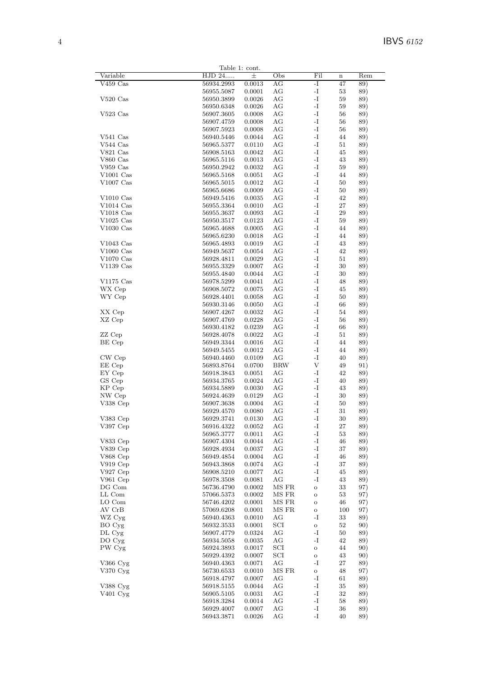|             |                | Table 1: cont. |              |                |         |     |
|-------------|----------------|----------------|--------------|----------------|---------|-----|
| Variable    | HJD 24         | 士              | Obs          | Fil            | $\bf n$ | Rem |
| $V459$ Cas  | 56934.2993     | 0.0013         | AG           | -I             | 47      | 89) |
|             | 56955.5087     | 0.0001         | AG           | -I             | 53      | 89) |
| $V520$ Cas  | 56950.3899     | 0.0026         | AG           | -1             | 59      | 89) |
|             |                |                |              |                |         |     |
|             | 56950.6348     | 0.0026         | AG           | -I             | 59      | 89) |
| $V523$ Cas  | 56907.3605     | 0.0008         | AG           | -1             | 56      | 89) |
|             | 56907.4759     | 0.0008         | AG           | -1             | 56      | 89) |
|             | 56907.5923     | 0.0008         | AG           | -I             | 56      | 89) |
| $V541$ Cas  | 56940.5446     | 0.0044         | AG           | -1             | 44      | 89) |
|             |                |                |              |                |         |     |
| $V544$ Cas  | $56965.5377\,$ | 0.0110         | AG           | -I             | 51      | 89) |
| $V821$ Cas  | 56908.5163     | 0.0042         | AG           | -1             | 45      | 89) |
| V860 Cas    | 56965.5116     | 0.0013         | AG           | -1             | 43      | 89) |
| $V959$ Cas  | 56950.2942     | 0.0032         | AG           | -I             | 59      | 89) |
| $V1001$ Cas | 56965.5168     | 0.0051         | AG           | -1             | 44      | 89) |
| $V1007$ Cas | 56965.5015     | 0.0012         | AG           | -I             | 50      |     |
|             |                |                |              |                |         | 89) |
|             | 56965.6686     | 0.0009         | AG           | -1             | 50      | 89) |
| $V1010$ Cas | 56949.5416     | 0.0035         | AG           | -1             | 42      | 89) |
| $V1014$ Cas | 56955.3364     | 0.0010         | AG           | -1             | 27      | 89) |
| $V1018$ Cas | 56955.3637     | 0.0093         | AG           | -1             | 29      | 89) |
| $V1025$ Cas | 56950.3517     | 0.0123         | AG           | -I             | 59      | 89) |
|             |                |                |              |                |         |     |
| $V1030$ Cas | 56965.4688     | 0.0005         | AG           | -1             | 44      | 89) |
|             | 56965.6230     | 0.0018         | AG           | -I             | 44      | 89) |
| $V1043$ Cas | $56965.4893\,$ | 0.0019         | AG           | -1             | 43      | 89) |
| $V1060$ Cas | 56949.5637     | 0.0054         | AG           | -I             | 42      | 89) |
| $V1070$ Cas | 56928.4811     | 0.0029         | AG           | -1             | 51      | 89) |
|             |                |                |              |                |         |     |
| $V1139$ Cas | 56955.3329     | 0.0007         | AG           | -1             | 30      | 89) |
|             | 56955.4840     | 0.0044         | AG           | -I             | 30      | 89) |
| $V1175$ Cas | 56978.5299     | 0.0041         | AG           | -1             | 48      | 89) |
| WX Cep      | 56908.5072     | 0.0075         | AG           | -I             | 45      | 89) |
| WY Cep      | 56928.4401     | 0.0058         | AG           | -1             | 50      | 89) |
|             |                |                |              |                |         |     |
|             | 56930.3146     | 0.0050         | AG           | -1             | 66      | 89) |
| XX Cep      | 56907.4267     | 0.0032         | AG           | -I             | 54      | 89) |
| XZ Cep      | 56907.4769     | 0.0228         | AG           | -1             | 56      | 89) |
|             | 56930.4182     | 0.0239         | AG           | -I             | 66      | 89) |
| ZZ Cep      | 56928.4078     | 0.0022         | AG           | -1             | 51      | 89) |
| BE Cep      | 56949.3344     | 0.0016         | AG           | -1             | 44      | 89) |
|             |                |                |              |                |         |     |
|             | 56949.5455     | 0.0012         | AG           | -1             | 44      | 89) |
| CW Cep      | 56940.4460     | 0.0109         | AG           | -1             | 40      | 89) |
| EE Cep      | 56893.8764     | 0.0700         | <b>BRW</b>   | V              | 49      | 91) |
| EY Cep      | 56918.3843     | 0.0051         | AG           | -1             | 42      | 89) |
| GS Cep      | 56934.3765     | 0.0024         | AG           | -I             | 40      | 89) |
| KP Cep      | 56934.5889     | 0.0030         | AG           | -1             | 43      | 89) |
|             |                |                |              |                |         |     |
| NW Cep      | 56924.4639     | 0.0129         | AG           | -1             | 30      | 89) |
| $V338$ Cep  | 56907.3638     | 0.0004         | AG           | $\mathbf{I}$ . | 50      | 89) |
|             | 56929.4570     | 0.0080         | AG           | -1             | 31      | 89) |
| V383 Cep    | 56929.3741     | 0.0130         | AG           | -I             | 30      | 89) |
| V397 Cep    | 56916.4322     | 0.0052         | AG           | -I             | $27\,$  | 89) |
|             | 56965.3777     | 0.0011         | AG           | -1             | 53      | 89) |
|             |                |                |              |                |         |     |
| V833 Cep    | 56907.4304     | 0.0044         | AG           | -1             | 46      | 89) |
| $V839$ Cep  | 56928.4934     | 0.0037         | AG           | $\mathbf{I}$ – | 37      | 89) |
| $V868$ Cep  | 56949.4854     | 0.0004         | AG           | $\mathbf{I}$ – | 46      | 89) |
| $V919$ Cep  | 56943.3868     | 0.0074         | AG           | I-             | 37      | 89) |
| $V927$ Cep  | 56908.5210     | 0.0077         | AG           | $\mathbf I$    | 45      | 89) |
| $V961$ Cep  | 56978.3508     | 0.0081         | AG           | -I             | 43      | 89) |
|             |                |                |              |                |         |     |
| DG Com      | 56736.4790     | 0.0002         | $\rm MS~FR$  | $\mathbf{o}$   | 33      | 97) |
| LL Com      | 57066.5373     | 0.0002         | MS FR        | $\circ$        | 53      | 97) |
| LO Com      | 56746.4202     | 0.0001         | MS FR        | $\mathbf{o}$   | 46      | 97) |
| AV CrB      | 57069.6208     | 0.0001         | MS FR        | $\mathbf{o}$   | 100     | 97) |
| WZ Cyg      | 56940.4363     | 0.0010         | AG           | -I             | 33      | 89) |
| BO Cyg      |                |                |              |                | $52\,$  |     |
|             | 56932.3533     | 0.0001         | SCI          | $\mathbf O$    |         | 90) |
| DL Cyg      | 56907.4779     | 0.0324         | AG           | -I             | 50      | 89) |
| DO Cyg      | 56934.5058     | 0.0035         | AG           | $\mathbf I$    | 42      | 89) |
| PW Cyg      | 56924.3893     | 0.0017         | SCI          | $\mathbf O$    | 44      | 90) |
|             | 56929.4392     | 0.0007         | $_{\rm SCI}$ | $\mathbf O$    | 43      | 90) |
| V366 Cyg    | 56940.4363     | 0.0071         | AG           | -I             | 27      | 89) |
|             |                |                |              |                |         |     |
| V370 Cyg    | 56730.6533     | 0.0010         | MS FR        | $\mathbf O$    | 48      | 97) |
|             | 56918.4797     | 0.0007         | AG           | $\mathbf I$    | 61      | 89) |
| V388 Cyg    | 56918.5155     | 0.0044         | AG           | -1             | 35      | 89) |
| V401 Cyg    | 56905.5105     | 0.0031         | AG           | $\mathbf{I}$   | $32\,$  | 89) |
|             | 56918.3284     | 0.0014         | AG           | $\mathbf{I}$ – | 58      | 89) |
|             | 56929.4007     | 0.0007         | AG           | -1             | 36      | 89) |
|             |                |                |              |                |         |     |
|             | 56943.3871     | 0.0026         | AG           | -1             | 40      | 89) |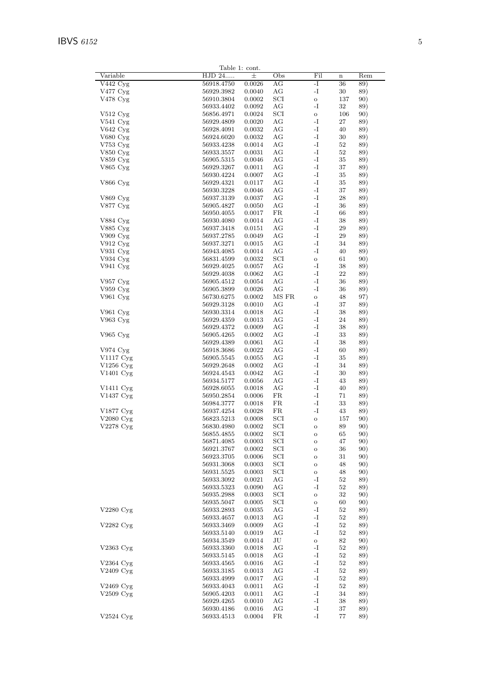| Table 1: cont.           |                          |                  |                             |                             |          |            |  |  |  |
|--------------------------|--------------------------|------------------|-----------------------------|-----------------------------|----------|------------|--|--|--|
| Variable                 | HJD 24                   | $\pm$            | $_{\rm Obs}$                | Fil                         | $\bf n$  | Rem        |  |  |  |
| V442 Cyg                 | 56918.4750               | 0.0026           | AG                          | -I                          | 36       | 89)        |  |  |  |
| V477 Cyg                 | 56929.3982               | 0.0040           | AG                          | $\mathbf{I}$ –              | $30\,$   | 89)        |  |  |  |
| V478 Cyg                 | 56910.3804               | 0.0002           | SCI                         | $\overline{O}$              | 137      | 90)        |  |  |  |
|                          | 56933.4402               | 0.0092           | AG                          | -I                          | $32\,$   | 89)        |  |  |  |
| $V512 \, Cyg$            | 56856.4971               | 0.0024           | SCI                         | $\mathbf O$                 | 106      | 90)        |  |  |  |
| $V541 \,\mathrm{Cyg}$    | 56929.4809               | 0.0020           | AG                          | $\mathbf I$                 | $27\,$   | 89)        |  |  |  |
| V642 Cyg                 | 56928.4091               | 0.0032           | AG                          | $\mathbf{I}$ –              | 40       | 89)        |  |  |  |
| V680 Cyg                 | 56924.6020               | 0.0032           | AG                          | -I                          | 30       | 89)        |  |  |  |
| V753 Cyg                 | 56933.4238               | 0.0014           | AG                          | $\mathbf{I}$ –              | $52\,$   | 89)        |  |  |  |
| $V850$ Cyg               | 56933.3557               | 0.0031           | AG                          | -1                          | $52\,$   | 89)        |  |  |  |
| V859 Cyg                 | 56905.5315               | 0.0046           | AG                          | -I                          | 35       | 89)        |  |  |  |
| V865 Cyg                 | 56929.3267               | 0.0011           | AG                          | -1                          | 37       | 89)        |  |  |  |
|                          | 56930.4224               | 0.0007           | AG                          | $\mathbf{I}$ –              | 35       | 89)        |  |  |  |
| V866 Cyg                 | 56929.4321               | 0.0117           | AG                          | -1                          | 35       | 89)        |  |  |  |
|                          | 56930.3228               | 0.0046           | AG                          | $\mathbf{I}$                | 37       | 89)        |  |  |  |
| V869 Cyg                 | 56937.3139               | 0.0037           | AG                          | $\mathbf{I}$ –              | 28       | 89)        |  |  |  |
| V877 Cyg                 | 56905.4827               | 0.0050           | AG                          | -1                          | 36       | 89)        |  |  |  |
|                          | 56950.4055               | 0.0017           | FR                          | -I                          | 66       | 89)        |  |  |  |
| V884 Cyg                 | 56930.4080               | 0.0014           | AG                          | -I                          | 38       | 89)        |  |  |  |
| V885 Cyg                 | 56937.3418               | 0.0151           | AG                          | -I                          | $\,29$   | 89)        |  |  |  |
| $V909$ Cyg<br>$V912$ Cyg | 56937.2785               | 0.0049           | AG<br>AG                    | -1<br>$\mathbf{I}$ –        | $\,29$   | 89)        |  |  |  |
| $V931 \,\mathrm{Cyg}$    | 56937.3271<br>56943.4085 | 0.0015           | AG                          | -I                          | 34       | 89)        |  |  |  |
| V934 Cyg                 | 56831.4599               | 0.0014           | SCI                         |                             | 40       | 89)        |  |  |  |
| V941 Cyg                 |                          | 0.0032           | AG                          | $\mathbf{o}$<br>$\mathbf I$ | 61<br>38 | 90)        |  |  |  |
|                          | 56929.4025               | 0.0057<br>0.0062 | AG                          | -I                          | $22\,$   | 89)        |  |  |  |
| $V957$ Cyg               | 56929.4038               | 0.0054           | AG                          | -I                          | 36       | 89)<br>89) |  |  |  |
| $V959$ Cyg               | 56905.4512               | 0.0026           | AG                          | -I                          | 36       | 89)        |  |  |  |
| V961 Cyg                 | 56905.3899<br>56730.6275 | 0.0002           | MS FR                       | $\overline{O}$              | 48       |            |  |  |  |
|                          | 56929.3128               | 0.0010           | AG                          | -I                          | 37       | 97)<br>89) |  |  |  |
| $V961$ Cyg               | 56930.3314               | 0.0018           | AG                          | -I                          | 38       | 89)        |  |  |  |
| V963 Cyg                 | 56929.4359               | 0.0013           | AG                          | -I                          | 24       | 89)        |  |  |  |
|                          | 56929.4372               | 0.0009           | AG                          | -I                          | 38       | 89)        |  |  |  |
| V965 Cyg                 | 56905.4265               | 0.0002           | AG                          | $\mathbf{I}$ –              | 33       | 89)        |  |  |  |
|                          | 56929.4389               | 0.0061           | AG                          | $\mathbf{I}$                | $38\,$   | 89)        |  |  |  |
| $V974$ Cyg               | 56918.3686               | 0.0022           | AG                          | -1                          | 60       | 89)        |  |  |  |
| $V1117 \,\mathrm{Cyg}$   | 56905.5545               | 0.0055           | AG                          | -I                          | 35       | 89)        |  |  |  |
| $V1256$ Cyg              | 56929.2648               | 0.0002           | AG                          | -I                          | 34       | 89)        |  |  |  |
| V1401 Cyg                | 56924.4543               | 0.0042           | AG                          | -I                          | $30\,$   | 89)        |  |  |  |
|                          | 56934.5177               | 0.0056           | AG                          | -1                          | 43       | 89)        |  |  |  |
| $V1411 \,\mathrm{Cyg}$   | 56928.6055               | 0.0018           | AG                          | I-                          | 40       | 89)        |  |  |  |
| V1437 Cyg                | 56950.2854               | 0.0006           | FR                          | $\mathbf{I}$ –              | 71       | 89)        |  |  |  |
|                          | 56984.3777               | 0.0018           | FR                          | -I                          | 33       | 89)        |  |  |  |
| V1877 Cyg                | 56937.4254               | 0.0028           | ${\rm FR}$                  | $\mathbf{-I}$               | 43       | 89)        |  |  |  |
| V2080 Cyg                | 56823.5213               | 0.0008           | SCI                         | $\mathbf{o}$                | 157      | 90)        |  |  |  |
| V2278 Cyg                | 56830.4980               | 0.0002           | SCI                         | $\mathbf O$                 | 89       | 90)        |  |  |  |
|                          | 56855.4855               | 0.0002           | SCI                         | $\circ$                     | 65       | 90)        |  |  |  |
|                          | 56871.4085               | 0.0003           | $\mathop{\rm SCI}\nolimits$ | $\circ$                     | 47       | 90)        |  |  |  |
|                          | 56921.3767               | 0.0002           | SCI                         | $\circ$                     | 36       | 90)        |  |  |  |
|                          | 56923.3705               | 0.0006           | SCI                         | $\circ$                     | 31       | 90)        |  |  |  |
|                          | 56931.3068               | 0.0003           | $\mathop{\rm SCI}\nolimits$ | $\mathbf{o}$                | 48       | 90)        |  |  |  |
|                          | 56931.5525               | 0.0003           | SCI                         | $\mathbf{o}$                | 48       | 90)        |  |  |  |
|                          | 56933.3092               | 0.0021           | AG                          | -I                          | 52       | 89)        |  |  |  |
|                          | 56933.5323               | 0.0090           | AG                          | -I                          | $52\,$   | 89)        |  |  |  |
|                          | 56935.2988               | 0.0003           | SCI                         | $\circ$                     | 32       | 90)        |  |  |  |
|                          | 56935.5047               | 0.0005           | SCI                         | $\mathbf{o}$                | 60       | 90)        |  |  |  |
| V2280 Cyg                | 56933.2893               | 0.0035           | AG                          | -I                          | $52\,$   | 89)        |  |  |  |
|                          | 56933.4657               | 0.0013           | $\rm{AG}$                   | -I                          | $52\,$   | 89)        |  |  |  |
| V2282 Cyg                | 56933.3469               | 0.0009           | AG                          | -I                          | 52       | 89)        |  |  |  |
|                          | 56933.5140               | 0.0019           | AG                          | -I                          | $52\,$   | 89)        |  |  |  |
|                          | 56934.3549               | 0.0014           | JU                          | $\circ$                     | 82       | 90)        |  |  |  |
| V2363 Cyg                | 56933.3360               | 0.0018           | AG                          | -I                          | 52       | 89)        |  |  |  |
|                          | 56933.5145               | 0.0018           | AG                          | -1                          | 52       | 89)        |  |  |  |
| V2364 Cyg                | 56933.4565               | 0.0016           | AG                          | -I                          | $52\,$   | 89)        |  |  |  |
| $V2409$ Cyg              | 56933.3185               | 0.0013           | AG                          | -I                          | 52       | 89)        |  |  |  |
|                          | 56933.4999               | 0.0017           | AG                          | -I                          | 52       | 89)        |  |  |  |
| $V2469$ Cyg              | 56933.4043               | 0.0011           | AG                          | $\mathbf{I}$                | $52\,$   | 89)        |  |  |  |
| $V2509$ Cyg              | 56905.4203               | 0.0011           | AG                          | -I                          | 34       | 89)        |  |  |  |
|                          | 56929.4265               | 0.0010           | AG                          | -I                          | 38       | 89)        |  |  |  |
|                          | 56930.4186               | 0.0016           | AG                          | -1                          | 37       | 89)        |  |  |  |
| $V2524$ Cyg              | 56933.4513               | 0.0004           | ${\rm FR}$                  | $\mathbf{I}$ –              | 77       | 89)        |  |  |  |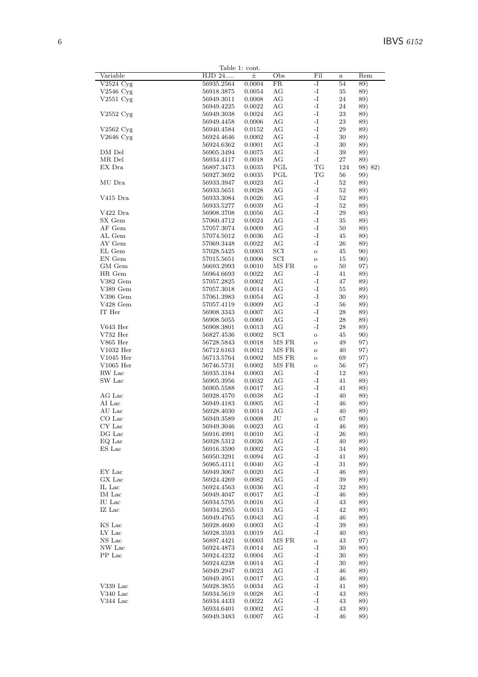|                        |            | Table 1: cont. |              |                               |             |         |
|------------------------|------------|----------------|--------------|-------------------------------|-------------|---------|
| Variable               | HJD 24     | $\pm$          | Obs          | Fil                           | $\bf n$     | Rem     |
| $V2524 \mathrm{Cyg}$   | 56935.2564 | 0.0004         | FR           | -I                            | 54          | 89)     |
| $V2546$ Cyg            | 56918.3875 | 0.0054         | AG           | -I                            | 35          | 89)     |
| $V2551 \,\mathrm{Cyg}$ |            | 0.0008         | AG           | -I                            | 24          | 89)     |
|                        | 56949.3011 |                |              |                               |             |         |
|                        | 56949.4225 | 0.0022         | AG           | $\mathbf{-I}$                 | 24          | 89)     |
| $V2552 \, Cyg$         | 56949.3038 | 0.0024         | AG           | -I                            | 23          | 89)     |
|                        | 56949.4458 | 0.0006         | AG           | -I                            | 23          | 89)     |
| $V2562 \,\mathrm{Cyg}$ | 56940.4584 | 0.0152         | AG           | -I                            | $\,29$      | 89)     |
| $V2646$ Cyg            | 56924.4646 | 0.0002         | AG           | -I                            | 30          | 89)     |
|                        |            |                |              | -I                            |             |         |
|                        | 56924.6362 | 0.0001         | AG           |                               | 30          | 89)     |
| DM Del                 | 56905.3494 | 0.0075         | AG           | -I                            | 39          | 89)     |
| MR Del                 | 56934.4117 | 0.0018         | AG           | -I                            | 27          | 89)     |
| EX Dra                 | 56897.3473 | 0.0035         | PGL          | $\operatorname{\mathcal{T}G}$ | 124         | 98) 82) |
|                        | 56927.3692 | 0.0035         | PGL          | TG                            | 56          | 99)     |
| MU Dra                 | 56933.3947 | 0.0023         | AG           | -I                            | 52          | 89)     |
|                        |            |                |              |                               |             |         |
|                        | 56933.5651 | 0.0028         | AG           | -I                            | 52          | 89)     |
| V415 Dra               | 56933.3084 | 0.0026         | AG           | -I                            | $52\,$      | 89)     |
|                        | 56933.5277 | 0.0039         | AG           | -I                            | 52          | 89)     |
| V422 Dra               | 56908.3708 | 0.0056         | AG           | -I                            | 29          | 89)     |
| SX Gem                 | 57060.4712 | 0.0024         | AG           | -I                            | 35          | 89)     |
| AF Gem                 |            |                |              | -I                            |             |         |
|                        | 57057.3074 | 0.0009         | AG           |                               | 50          | 89)     |
| AL Gem                 | 57074.5012 | 0.0036         | AG           | -I                            | 45          | 89)     |
| AY Gem                 | 57069.3448 | 0.0022         | AG           | -I                            | 26          | 89)     |
| EL Gem                 | 57028.5425 | 0.0003         | SCI          | $\mathbf O$                   | 45          | 90)     |
| EN Gem                 | 57015.5651 | 0.0006         | $_{\rm SCI}$ | $\mathbf O$                   | 15          | 90)     |
| GM Gem                 | 56693.2993 | 0.0010         | MS FR        |                               | 50          | 97)     |
|                        |            |                |              | $\mathbf O$                   |             |         |
| HR Gem                 | 56964.6693 | 0.0022         | AG           | -I                            | 41          | 89)     |
| V382 Gem               | 57057.2825 | 0.0002         | AG           | -I                            | 47          | 89)     |
| V389 Gem               | 57057.3018 | 0.0014         | AG           | -I                            | 55          | 89)     |
| V396 Gem               | 57061.3983 | 0.0054         | AG           | -I                            | 30          | 89)     |
| $V428$ Gem             | 57057.4119 | 0.0009         | AG           | -I                            | 56          | 89)     |
|                        |            |                |              |                               |             |         |
| IT Her                 | 56908.3343 | 0.0007         | AG           | -I                            | 28          | 89)     |
|                        | 56908.5055 | 0.0060         | AG           | -I                            | 28          | 89)     |
| $V643$ Her             | 56908.3801 | 0.0013         | AG           | -I                            | 28          | 89)     |
| $V732$ Her             | 56827.4536 | 0.0002         | $_{\rm SCI}$ | $\mathbf O$                   | 45          | 90)     |
| V865 Her               | 56728.5843 | 0.0018         | MS FR        | $\mathbf O$                   | 49          | 97)     |
| $V1032$ Her            | 56712.6163 | 0.0012         | MS FR        | $\mathbf O$                   | 40          | 97)     |
| $V1045$ Her            | 56713.5764 | 0.0002         | MS FR        |                               | 69          |         |
|                        |            |                |              | $\mathbf{o}$                  |             | 97)     |
| $V1065$ Her            | 56746.5731 | 0.0002         | MS FR        | $\mathbf O$                   | 56          | 97)     |
| RW Lac                 | 56935.3184 | 0.0003         | AG           | -I                            | 12          | 89)     |
| SW Lac                 | 56905.3956 | 0.0032         | AG           | -I                            | 41          | 89)     |
|                        | 56905.5588 | 0.0017         | AG           | -I                            | 41          | 89)     |
| AG Lac                 | 56928.4570 | 0.0038         | AG           | -I                            | 40          | 89)     |
|                        |            |                |              | -I                            |             |         |
| AI Lac                 | 56949.4183 | 0.0005         | AG           |                               | 46          | 89)     |
| AU Lac                 | 56928.4030 | 0.0014         | AG           | -I                            | 40          | 89)     |
| $CO$ Lac               | 56949.3589 | 0.0008         | JU           | $\mathbf O$                   | 67          | 90)     |
| ${\rm CY}$ Lac         | 56949.3046 | 0.0023         | $\rm{AG}$    | $\mathbf{-I}$                 | $\sqrt{46}$ | 89)     |
| DG Lac                 | 56916.4991 | 0.0010         | AG           | $\mathbf{I}$                  | 26          | 89)     |
| EQ Lac                 | 56928.5312 | 0.0026         | AG           | $\mathbf{I}$                  | 40          | 89)     |
| ES Lac                 | 56916.3590 | 0.0002         | AG           | $\mathbf I$                   | 34          | 89)     |
|                        |            |                |              |                               |             |         |
|                        | 56950.3291 | 0.0094         | AG           | $\mathbf{-I}$                 | 41          | 89)     |
|                        | 56965.4111 | 0.0040         | AG           | $\mathbf{I}$                  | 31          | 89)     |
| EY Lac                 | 56949.3067 | 0.0020         | AG           | $\mathbf{-I}$                 | 46          | 89)     |
| GX Lac                 | 56924.4269 | 0.0082         | AG           | $\mathbf{I}$                  | 39          | 89)     |
| IL Lac                 | 56924.4563 | 0.0036         | AG           | $\mathbf{I}$                  | 32          | 89)     |
| IM Lac                 |            |                | AG           | $\mathbf{-I}$                 | 46          |         |
|                        | 56949.4047 | 0.0017         |              |                               |             | 89)     |
| IU Lac                 | 56934.5795 | 0.0016         | AG           | $\mathbf{I}$                  | 43          | 89)     |
| IZ Lac                 | 56934.2955 | 0.0013         | AG           | -1                            | 42          | 89)     |
|                        | 56949.4765 | 0.0043         | AG           | -I                            | 46          | 89)     |
| KS Lac                 | 56928.4600 | 0.0003         | AG           | $\mathbf{-I}$                 | 39          | 89)     |
| LY Lac                 | 56928.3593 | 0.0019         | AG           | $\mathbf{I}$                  | 40          | 89)     |
|                        |            |                |              |                               |             |         |
| NS Lac                 | 56897.4421 | 0.0003         | MS FR        | $\rm _O$                      | 43          | 97)     |
| NW Lac                 | 56924.4873 | 0.0014         | AG           | $\mathbf{-I}$                 | 30          | 89)     |
| PP Lac                 | 56924.4232 | 0.0004         | AG           | $\mathbf{I}$                  | 30          | 89)     |
|                        | 56924.6238 | 0.0014         | AG           | $-I$                          | 30          | 89)     |
|                        | 56949.2947 | 0.0023         | AG           | $\mathbf{I}$                  | 46          | 89)     |
|                        | 56949.4951 | 0.0017         | AG           | -1                            | 46          | 89)     |
| $V339$ Lac             |            | 0.0034         | AG           | -1                            | 41          | 89)     |
|                        | 56928.3855 |                |              |                               |             |         |
| $V340$ Lac             | 56934.5619 | 0.0028         | AG           | $\mathbf I$                   | 43          | 89)     |
| V344 Lac               | 56934.4433 | 0.0022         | AG           | -1                            | 43          | 89)     |
|                        | 56934.6401 | 0.0002         | AG           | $\mathbf{I}$                  | 43          | 89)     |
|                        | 56949.3483 | 0.0007         | AG           | $-I$                          | 46          | 89)     |
|                        |            |                |              |                               |             |         |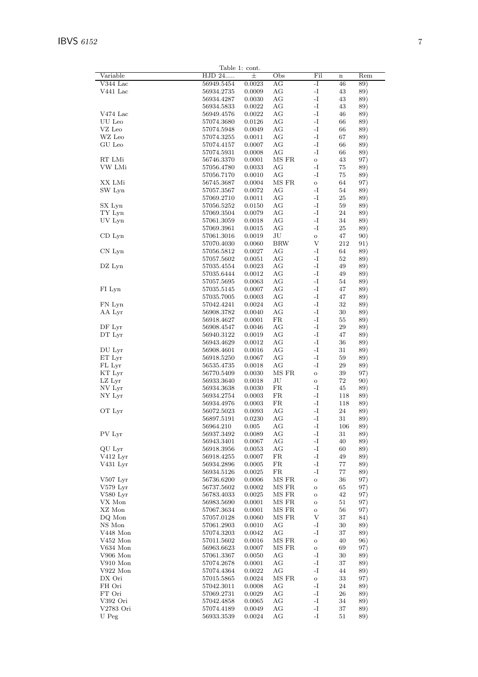| Table 1: cont.       |                          |                  |                |                             |              |            |  |  |  |
|----------------------|--------------------------|------------------|----------------|-----------------------------|--------------|------------|--|--|--|
| Variable             | HJD 24                   | 土                | $_{\rm Obs}$   | Fil                         | $\bf n$      | Rem        |  |  |  |
| $V344$ Lac           | 56949.5454               | 0.0023           | AG             | -I                          | 46           | 89)        |  |  |  |
| V441 Lac             | 56934.2735               | 0.0009           | АG             | $\mathbf{I}$ –              | 43           | 89)        |  |  |  |
|                      | 56934.4287               | 0.0030           | AG             | -I                          | 43           | 89)        |  |  |  |
|                      | 56934.5833               | 0.0022           | AG<br>AG       | -I<br>$\mathbf{I}$          | 43           | 89)        |  |  |  |
| $V474$ Lac<br>UU Leo | 56949.4576<br>57074.3680 | 0.0022<br>0.0126 | AG             | -I                          | 46<br>66     | 89)<br>89) |  |  |  |
| ${\rm VZ}$ Leo       | 57074.5948               | 0.0049           | AG             | -I                          | 66           | 89)        |  |  |  |
| WZ Leo               | 57074.3255               | 0.0011           | AG             | $\mathbf{I}$                | 67           | 89)        |  |  |  |
| GU Leo               | 57074.4157               | 0.0007           | AG             | I-                          | 66           | 89)        |  |  |  |
|                      | 57074.5931               | 0.0008           | AG             | -I                          | 66           | 89)        |  |  |  |
| RT LMi               | 56746.3370               | 0.0001           | MS FR          | $\mathbf{o}$                | 43           | 97)        |  |  |  |
| VW LMi               | 57056.4780               | 0.0033           | AG             | -I                          | 75           | 89)        |  |  |  |
|                      | 57056.7170               | 0.0010           | AG             | -I                          | 75           | 89)        |  |  |  |
| XX LMi               | 56745.3687               | 0.0004           | MS FR          | $\mathbf{o}$                | 64           | 97)        |  |  |  |
| SW Lyn               | 57057.3567               | 0.0072           | AG             | -I                          | 54           | 89)        |  |  |  |
|                      | 57069.2710               | 0.0011           | AG             | -I                          | 25           | 89)        |  |  |  |
| SX Lyn               | 57056.5252               | 0.0150           | AG             | -I                          | 59           | 89)        |  |  |  |
| TY Lyn               | 57069.3504               | 0.0079           | AG             | I-                          | 24           | 89)        |  |  |  |
| UV Lyn               | 57061.3059               | 0.0018           | AG             | -I                          | 34           | 89)        |  |  |  |
|                      | 57069.3961               | 0.0015           | AG             | $\mathbf{I}$                | $25\,$       | 89)        |  |  |  |
| $CD$ Lyn             | 57061.3016               | 0.0019           | JU             | $\mathbf{o}$                | 47           | 90)        |  |  |  |
|                      | 57070.4030               | 0.0060           | <b>BRW</b>     | V<br>-1                     | 212          | 91)        |  |  |  |
| CN Lyn               | 57056.5812               | 0.0027           | AG<br>AG       | $\mathbf{I}$                | 64<br>$52\,$ | 89)        |  |  |  |
| DZ Lyn               | 57057.5602<br>57035.4554 | 0.0051<br>0.0023 | AG             | -I                          | 49           | 89)<br>89) |  |  |  |
|                      | 57035.6444               | 0.0012           | AG             | -I                          | 49           | 89)        |  |  |  |
|                      | 57057.5695               | 0.0063           | АG             | -I                          | 54           | 89)        |  |  |  |
| FI Lyn               | 57035.5145               | 0.0007           | AG             | -I                          | 47           | 89)        |  |  |  |
|                      | 57035.7005               | 0.0003           | AG             | -I                          | 47           | 89)        |  |  |  |
| FN Lyn               | 57042.4241               | 0.0024           | AG             | -I                          | $32\,$       | 89)        |  |  |  |
| AA Lyr               | 56908.3782               | 0.0040           | AG             | $\mathbf{I}$                | 30           | 89)        |  |  |  |
|                      | 56918.4627               | 0.0001           | FR             | -I                          | 55           | 89)        |  |  |  |
| DF Lyr               | 56908.4547               | 0.0046           | АG             | I-                          | 29           | 89)        |  |  |  |
| DT Lyr               | 56940.3122               | 0.0019           | AG             | $\mathbf{I}$                | 47           | 89)        |  |  |  |
|                      | 56943.4629               | 0.0012           | AG             | -I                          | 36           | 89)        |  |  |  |
| DU Lyr               | 56908.4601               | 0.0016           | AG             | -I                          | 31           | 89)        |  |  |  |
| ET Lyr               | 56918.5250               | 0.0067           | AG             | I-                          | 59           | 89)        |  |  |  |
| FL Lyr               | 56535.4735               | 0.0018           | AG             | -I                          | 29           | 89)        |  |  |  |
| KT Lyr               | 56770.5409               | 0.0030           | MS FR          | $\mathbf{o}$                | $39\,$       | 97)        |  |  |  |
| LZ Lyr               | 56933.3640               | 0.0018           | JU<br>FR       | $\mathbf O$<br>-I           | 72           | 90)        |  |  |  |
| NV Lyr<br>NY Lyr     | 56934.3638<br>56934.2754 | 0.0030<br>0.0003 | FR             | -I                          | 45<br>118    | 89)<br>89) |  |  |  |
|                      | 56934.4976               | 0.0003           | FR             | -I                          | 118          | 89)        |  |  |  |
| OT Lyr               | 56072.5023               | 0.0093           | AG             | -I                          | 24           | 89)        |  |  |  |
|                      | 56897.5191               | 0.0230           | AG             | -I                          | 31           | 89)        |  |  |  |
|                      | 56964.210                | 0.005            | AG             | I-                          | 106          | 89)        |  |  |  |
| PV Lyr               | 56937.3492               | 0.0089           | AG             | $\mathbf{I}-$               | 31           | 89)        |  |  |  |
|                      | 56943.3401               | 0.0067           | AG             | -I                          | 40           | 89)        |  |  |  |
| QU Lyr               | 56918.3956               | 0.0053           | AG             | -I                          | 60           | 89)        |  |  |  |
| V412 Lyr             | 56918.4255               | 0.0007           | FR             | -I                          | 49           | 89)        |  |  |  |
| V431 Lyr             | 56934.2896               | 0.0005           | FR             | -I                          | 77           | 89)        |  |  |  |
|                      | 56934.5126               | 0.0025           | ${\rm FR}$     | -I                          | 77           | 89)        |  |  |  |
| $V507$ Lyr           | 56736.6200               | 0.0006           | MS FR          | $\mathbf O$                 | 36           | 97)        |  |  |  |
| $V579$ Lyr           | 56737.5602               | 0.0002           | MS FR          | $\mathbf O$                 | 65           | 97)        |  |  |  |
| $V580$ Lyr           | 56783.4033               | 0.0025           | MS FR          | $\mathbf O$                 | 42           | 97)        |  |  |  |
| VX Mon               | 56983.5690               | 0.0001           | $\rm MS~FR$    | $\mathbf O$                 | 51           | 97)        |  |  |  |
| XZ Mon               | 57067.3634               | 0.0001           | $\rm{MS}\ FR$  | $\mathbf O$                 | 56           | 97)        |  |  |  |
| DQ Mon               | 57057.0128               | 0.0060           | MS FR          | V                           | 37           | 84)        |  |  |  |
| NS Mon               | 57061.2903               | 0.0010           | AG             | $\mathbf{I}$ –              | $30\,$       | 89)        |  |  |  |
| V448 Mon             | 57074.3203               | 0.0042           | $\rm{AG}$      | -I                          | 37           | 89)        |  |  |  |
| V452 Mon<br>V634 Mon | 57011.5602<br>56963.6623 | 0.0016<br>0.0007 | MS FR<br>MS FR | $\mathbf{o}$<br>$\mathbf O$ | 40<br>69     | 96)<br>97) |  |  |  |
| V906 Mon             | 57061.3367               | 0.0050           | AG             | -1                          | 30           | 89)        |  |  |  |
| $V910$ Mon           | 57074.2678               | 0.0001           | AG             | -I                          | 37           | 89)        |  |  |  |
| V922 Mon             | 57074.4364               | 0.0022           | AG             | -I                          | 44           | 89)        |  |  |  |
| DX Ori               | 57015.5865               | 0.0024           | MS FR          | $\mathbf{o}$                | 33           | 97)        |  |  |  |
| FH Ori               | 57042.3011               | 0.0008           | AG             | -I                          | 24           | 89)        |  |  |  |
| FT Ori               | 57069.2731               | 0.0029           | AG             | -I                          | 26           | 89)        |  |  |  |
| V392 Ori             | 57042.4858               | 0.0065           | AG             | -I                          | 34           | 89)        |  |  |  |
| V2783 Ori            | 57074.4189               | 0.0049           | AG             | I-                          | 37           | 89)        |  |  |  |
| U Peg                | 56933.3539               | 0.0024           | AG             | -I                          | 51           | 89)        |  |  |  |
|                      |                          |                  |                |                             |              |            |  |  |  |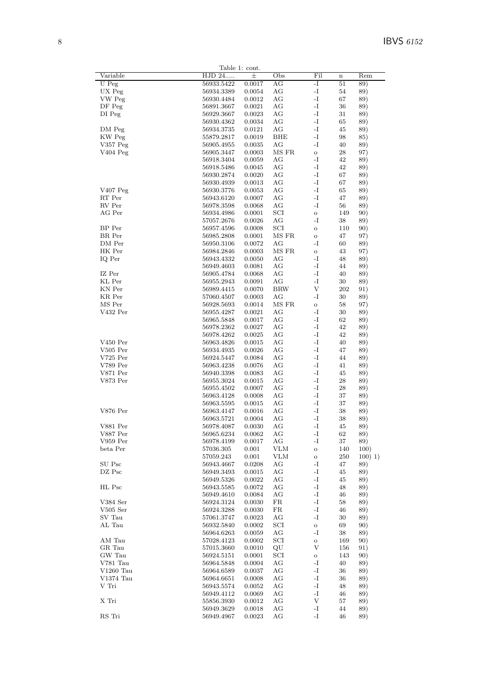|                  |                | Table 1: cont. |            |                |         |         |
|------------------|----------------|----------------|------------|----------------|---------|---------|
| Variable         | HJD 24         | 士              | Obs        | Fil            | $\bf n$ | Rem     |
| U Peg            | 56933.5422     | 0.0017         | AG         | $-I$           | 51      | 89)     |
|                  |                |                |            | $\mathbf{-I}$  | $54\,$  |         |
| UX Peg           | 56934.3389     | 0.0054         | AG         |                |         | 89)     |
| VW Peg           | 56930.4484     | 0.0012         | AG         | $\mathbf{I}$   | 67      | 89)     |
| DF Peg           | 56891.3667     | 0.0021         | AG         | $-I$           | 36      | 89)     |
| DI Peg           | 56929.3667     | 0.0023         | AG         | $\mathbf{I}$   | 31      | 89)     |
|                  | 56930.4362     | 0.0034         | AG         | -I             | 65      | 89)     |
|                  |                |                | AG         | -I             | 45      |         |
| DM Peg           | 56934.3735     | 0.0121         |            |                |         | 89)     |
| KW Peg           | 55879.2817     | 0.0019         | <b>BHE</b> | -I             | 98      | 85)     |
| $V357$ Peg       | 56905.4955     | 0.0035         | AG         | $-I$           | 40      | 89)     |
| $V404$ Peg       | 56905.3447     | 0.0003         | MS FR      | $\mathbf O$    | 28      | 97)     |
|                  | 56918.3404     | 0.0059         | AG         | $-I$           | 42      | 89)     |
|                  | 56918.5486     | 0.0045         | AG         | $\mathbf{-I}$  | 42      | 89)     |
|                  |                |                |            |                |         |         |
|                  | 56930.2874     | 0.0020         | AG         | $-I$           | 67      | 89)     |
|                  | 56930.4939     | 0.0013         | AG         | $\mathbf{-I}$  | 67      | 89)     |
| $V407$ Peg       | 56930.3776     | 0.0053         | AG         | $\mathbf{I}$   | 65      | 89)     |
| RT Per           | 56943.6120     | 0.0007         | AG         | $-I$           | 47      | 89)     |
| RV Per           | 56978.3598     | 0.0068         | AG         | $-I$           | 56      | 89)     |
|                  |                |                |            |                |         |         |
| AG Per           | 56934.4986     | 0.0001         | SCI        | $\mathbf{o}$   | 149     | 90)     |
|                  | 57057.2676     | 0.0026         | AG         | $-I$           | 38      | 89)     |
| BP Per           | 56957.4596     | 0.0008         | SCI        | $\mathbf{o}$   | 110     | 90)     |
| BR Per           | 56985.2808     | 0.0001         | MS FR      | $\mathbf{o}$   | 47      | 97)     |
| DM Per           | 56950.3106     | 0.0072         | AG         | $-I$           | 60      | 89)     |
| HK Per           |                |                |            |                |         |         |
|                  | 56984.2846     | 0.0003         | MS FR      | $\mathbf{o}$   | 43      | 97)     |
| IQ Per           | 56943.4332     | 0.0050         | AG         | $\mathbf{-I}$  | 48      | 89)     |
|                  | 56949.4603     | 0.0081         | AG         | $-I$           | 44      | 89)     |
| IZ Per           | 56905.4784     | 0.0068         | AG         | -I             | 40      | 89)     |
| KL Per           | 56955.2943     | 0.0091         | AG         | $-I$           | $30\,$  | 89)     |
|                  |                |                |            |                |         |         |
| KN Per           | 56989.4415     | 0.0070         | <b>BRW</b> | V              | 202     | 91)     |
| KR Per           | 57060.4507     | 0.0003         | AG         | -I             | 30      | 89)     |
| MS Per           | 56928.5693     | 0.0014         | MS FR      | $\mathbf{o}$   | 58      | 97)     |
| V432 Per         | 56955.4287     | 0.0021         | AG         | $\mathbf{-I}$  | $30\,$  | 89)     |
|                  | 56965.5848     | 0.0017         | AG         | $-I$           | 62      | 89)     |
|                  |                |                | AG         | $-I$           | 42      |         |
|                  | 56978.2362     | 0.0027         |            |                |         | 89)     |
|                  | 56978.4262     | 0.0025         | AG         | -I             | 42      | 89)     |
| $V450$ Per       | 56963.4826     | 0.0015         | AG         | $\mathbf{-I}$  | 40      | 89)     |
| $V505$ Per       | 56934.4935     | 0.0026         | AG         | -I             | 47      | 89)     |
| $V725$ Per       | 56924.5447     | 0.0084         | AG         | $\mathbf{-I}$  | 44      | 89)     |
| V789 Per         | $56963.4238\,$ | 0.0076         | AG         | -I             | 41      |         |
|                  |                |                |            |                |         | 89)     |
| V871 Per         | 56940.3398     | 0.0083         | AG         | $-I$           | 45      | 89)     |
| V873 Per         | 56955.3024     | 0.0015         | AG         | $\mathbf{-I}$  | 28      | 89)     |
|                  | 56955.4502     | 0.0007         | AG         | -I             | 28      | 89)     |
|                  | 56963.4128     | 0.0008         | AG         | $-I$           | 37      | 89)     |
|                  | $56963.5595\,$ | 0.0015         | AG         | -I             | 37      | 89)     |
|                  |                |                |            |                |         |         |
| <b>V876 Per</b>  | 56963.4147     | 0.0016         | AG         | $-I$           | 38      | 89)     |
|                  | 56963.5721     | 0.0004         | AG         | $\mathbf{-I}$  | 38      | 89)     |
| ${\rm V881}$ Per | 56978.4087     | 0.0030         | AG         | $\mathbf{I}$ . | $45\,$  | 89)     |
| <b>V887 Per</b>  | 56965.6234     | 0.0062         | AG         | -1             | 62      | 89)     |
| $V959$ Per       | 56978.4199     | 0.0017         | АG         | -I             | 37      | 89)     |
| beta Per         | 57036.305      | 0.001          | <b>VLM</b> |                | 140     | 100)    |
|                  |                |                |            | $\rm{O}$       |         |         |
|                  | 57059.243      | 0.001          | <b>VLM</b> | $\mathbf O$    | 250     | 100) 1) |
| SU Psc           | 56943.4667     | 0.0208         | AG         | -1             | 47      | 89)     |
| DZ Psc           | 56949.3493     | 0.0015         | AG         | -1             | 45      | 89)     |
|                  | 56949.5326     | 0.0022         | AG         | $\mathbf{I}$   | 45      | 89)     |
| HL Psc           | 56943.5585     | 0.0072         | AG         | -1             | 48      | 89)     |
|                  |                | 0.0084         | АG         | $\mathbf{I}$   | 46      | 89)     |
|                  | 56949.4610     |                |            |                |         |         |
| V384 Ser         | 56924.3124     | 0.0030         | FR         | -1             | 58      | 89)     |
| $V505$ Ser       | 56924.3288     | 0.0030         | FR         | $\mathbf{-I}$  | 46      | 89)     |
| SV Tau           | 57061.3747     | 0.0023         | AG         | $\mathbf{-I}$  | 30      | 89)     |
| AL Tau           | 56932.5840     | 0.0002         | SCI        | $\mathbf{o}$   | 69      | 90)     |
|                  | 56964.6263     | 0.0059         | АG         | $\mathbf{-I}$  | 38      | 89)     |
|                  |                |                |            |                |         |         |
| AM Tau           | 57028.4123     | 0.0002         | SCI        | $\rm{O}$       | 169     | 90)     |
| GR Tau           | 57015.3660     | 0.0010         | QU         | V              | 156     | 91)     |
| GW Tau           | 56924.5151     | 0.0001         | SCI        | $\mathbf{o}$   | 143     | 90)     |
| V781 Tau         | 56964.5848     | 0.0004         | AG         | -1             | 40      | 89)     |
| $V1260$ Tau      | 56964.6589     | 0.0037         | AG         | $\mathbf{-I}$  | 36      | 89)     |
|                  |                |                |            |                |         |         |
| V1374 Tau        | 56964.6651     | 0.0008         | AG         | -1             | 36      | 89)     |
| V Tri            | 56943.5574     | 0.0052         | АG         | $\mathbf{I}$   | 48      | 89)     |
|                  | 56949.4112     | 0.0069         | AG         | -1             | 46      | 89)     |
| X Tri            | 55856.3930     | 0.0012         | AG         | V              | $57\,$  | 89)     |
|                  | 56949.3629     | 0.0018         | AG         | -1             | 44      | 89)     |
| RS Tri           | 56949.4967     | 0.0023         | AG         | $\mathbf{I}$   | 46      | 89)     |
|                  |                |                |            |                |         |         |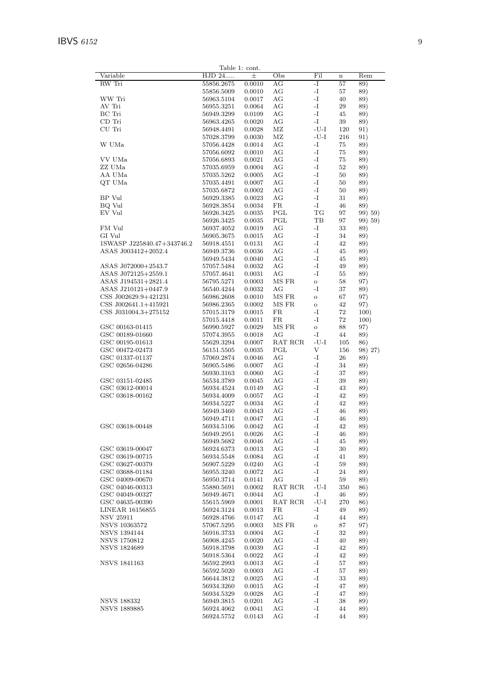| Table 1: cont.             |                |        |                                           |                               |         |         |  |  |  |
|----------------------------|----------------|--------|-------------------------------------------|-------------------------------|---------|---------|--|--|--|
| Variable                   | HJD 24         | 土      | Obs                                       | Fil                           | $\bf n$ | Rem     |  |  |  |
| RW Tri                     | 55856.2675     | 0.0010 | AG                                        | -I                            | 57      | 89)     |  |  |  |
|                            | 55856.5009     | 0.0010 | AG                                        | -I                            | 57      | 89)     |  |  |  |
| WW Tri                     | $56963.5104\,$ | 0.0017 | AG                                        | -I                            | 40      | 89)     |  |  |  |
| AV Tri                     | 56955.3251     | 0.0064 | AG                                        | -I                            | 29      | 89)     |  |  |  |
| BC Tri                     | 56949.3299     | 0.0109 | AG                                        | -I                            | 45      | 89)     |  |  |  |
| CD Tri                     | 56963.4265     | 0.0020 | AG                                        | -I                            | 39      | 89)     |  |  |  |
| CU Tri                     | 56948.4491     | 0.0028 | ΜZ                                        | $-U-I$                        | 120     | 91)     |  |  |  |
|                            | 57028.3799     | 0.0030 | $\rm MZ$                                  | $-U-I$                        | 216     | 91)     |  |  |  |
| W UMa                      | 57056.4428     | 0.0014 | AG                                        | -I                            | 75      | 89)     |  |  |  |
|                            | 57056.6092     | 0.0010 | AG                                        | -I                            | 75      | 89)     |  |  |  |
| VV UMa                     | 57056.6893     | 0.0021 | AG                                        | -I                            | 75      | 89)     |  |  |  |
| ZZ UMa                     | 57035.6959     | 0.0004 | AG                                        | -I                            | 52      | 89)     |  |  |  |
| AA UMa                     | 57035.5262     | 0.0005 | AG                                        | -I                            | 50      | 89)     |  |  |  |
| QT UMa                     | 57035.4491     | 0.0007 | AG                                        | -I                            | 50      | 89)     |  |  |  |
|                            | 57035.6872     | 0.0002 | AG                                        | -I                            | 50      | 89)     |  |  |  |
| BP Vul                     | 56929.3385     | 0.0023 | AG                                        | -I                            | 31      | 89)     |  |  |  |
| BQ Vul                     | 56928.3854     | 0.0034 | ${\rm FR}$                                | -1                            | 46      | 89)     |  |  |  |
| EV Vul                     | 56926.3425     | 0.0035 | PGL                                       | $\operatorname{\mathcal{T}G}$ | 97      | 99) 59) |  |  |  |
|                            | 56926.3425     | 0.0035 | PGL                                       | $_{\rm{TB}}$                  | 97      | 99) 59) |  |  |  |
| FM Vul                     | 56937.4052     | 0.0019 | AG                                        | -1                            | 33      | 89)     |  |  |  |
| GI Vul                     | 56905.3675     | 0.0015 | AG                                        | -1                            | 34      | 89)     |  |  |  |
| 1SWASP J225840.47+343746.2 | 56918.4551     | 0.0131 | AG                                        | -I                            | 42      | 89)     |  |  |  |
| ASAS J003412+2052.4        | 56949.3736     | 0.0036 | AG                                        | -I                            | 45      | 89)     |  |  |  |
|                            | 56949.5434     | 0.0040 | AG                                        | -I                            | 45      | 89)     |  |  |  |
| ASAS J072000+2543.7        | 57057.5484     | 0.0032 | AG                                        | -I                            | 49      | 89)     |  |  |  |
| ASAS J072125+2559.1        | 57057.4641     | 0.0031 | AG                                        | -I                            | 55      | 89)     |  |  |  |
| ASAS J194531+2821.4        | 56795.5271     | 0.0003 | MS FR                                     | $\mathbf O$                   | 58      | 97)     |  |  |  |
| ASAS J210121+0447.9        | 56540.4244     | 0.0032 | AG                                        | -I                            | 37      | 89)     |  |  |  |
| CSS J002629.9+421231       | 56986.2608     | 0.0010 | MS FR                                     | $\mathbf{o}$                  | 67      | 97)     |  |  |  |
| CSS J002641.1+415921       | 56986.2365     | 0.0002 | MS FR                                     | $\mathbf O$                   | 42      | 97)     |  |  |  |
| CSS J031004.3+275152       | 57015.3179     | 0.0015 | FR                                        | -I                            | $72\,$  | 100)    |  |  |  |
|                            | 57015.4418     | 0.0011 | FR                                        | -I                            | $72\,$  | 100)    |  |  |  |
| GSC 00163-01415            | 56990.5927     | 0.0029 | MS FR                                     | $\mathbf O$                   | 88      | 97)     |  |  |  |
| GSC 00189-01660            | $57074.3955\,$ | 0.0018 | AG                                        | -I                            | 44      | 89)     |  |  |  |
| GSC 00195-01613            | 55629.3294     | 0.0007 | RAT RCR                                   | $-U-I$                        | 105     | 86)     |  |  |  |
| GSC 00472-02473            | 56151.5505     | 0.0035 | PGL                                       | V                             | 156     | 98) 27) |  |  |  |
| GSC 01337-01137            | 57069.2874     | 0.0046 | AG                                        | -I                            | 26      | 89)     |  |  |  |
| GSC 02656-04286            | 56905.5486     | 0.0007 | AG                                        | $\mathbf{-I}$                 | 34      | 89)     |  |  |  |
|                            | 56930.3163     | 0.0060 | AG                                        | -I                            | 37      | 89)     |  |  |  |
| GSC 03151-02485            | 56534.3789     | 0.0045 | AG                                        | -I                            | 39      | 89)     |  |  |  |
| GSC 03612-00014            | 56934.4524     | 0.0149 | AG                                        | $-I$                          | 43      | 89)     |  |  |  |
| GSC 03618-00162            | 56934.4009     | 0.0057 | AG                                        | -1                            | 42      | 89)     |  |  |  |
|                            | 56934.5227     | 0.0034 | AG                                        | -1                            | 42      | 89)     |  |  |  |
|                            | 56949.3460     | 0.0043 | AG                                        | $\mathbf{-I}$                 | 46      | 89)     |  |  |  |
|                            | 56949.4711     | 0.0047 | AG                                        | -I                            | 46      | 89)     |  |  |  |
| GSC 03618-00448            | 56934.5106     | 0.0042 | AG                                        | -I                            | 42      | 89)     |  |  |  |
|                            | 56949.2951     | 0.0026 | AG                                        | -I                            | 46      | 89)     |  |  |  |
|                            | 56949.5682     | 0.0046 | АG                                        | -I                            | 45      | 89)     |  |  |  |
| GSC 03619-00047            | 56924.6373     | 0.0013 | AG                                        | -I                            | 30      | 89)     |  |  |  |
| GSC 03619-00715            | 56934.5548     | 0.0084 | AG                                        | -I                            | 41      | 89)     |  |  |  |
| GSC 03627-00379            | 56907.5229     | 0.0240 | AG                                        | $\mathbf{-I}$                 | 59      | 89)     |  |  |  |
| GSC 03688-01184            | 56955.3240     | 0.0072 | AG                                        | -I                            | 24      | 89)     |  |  |  |
| GSC 04009-00670            | 56950.3714     | 0.0141 | AG                                        | -I                            | 59      | 89)     |  |  |  |
| GSC 04046-00313            | 55880.5691     | 0.0002 | RAT RCR                                   | $-U-I$                        | 350     |         |  |  |  |
|                            | 56949.4671     |        | AG                                        | -I                            |         | 86)     |  |  |  |
| GSC 04049-00327            |                | 0.0044 | $\operatorname{RAT}$ $\operatorname{RCR}$ | $-U-I$                        | 46      | 89)     |  |  |  |
| GSC 04635-00390            | 55615.5969     | 0.0001 |                                           |                               | 270     | 86)     |  |  |  |
| <b>LINEAR 16156855</b>     | 56924.3124     | 0.0013 | FR                                        | -I                            | 49      | 89)     |  |  |  |
| <b>NSV 25911</b>           | 56928.4766     | 0.0147 | AG                                        | -I                            | 44      | 89)     |  |  |  |
| NSVS 10363572              | 57067.5295     | 0.0003 | MS FR                                     | $\mathbf O$                   | 87      | 97)     |  |  |  |
| <b>NSVS 1394144</b>        | 56916.3733     | 0.0004 | AG                                        | -I                            | 32      | 89)     |  |  |  |
| <b>NSVS 1750812</b>        | 56908.4245     | 0.0020 | AG                                        | -I                            | 40      | 89)     |  |  |  |
| NSVS 1824689               | 56918.3798     | 0.0039 | AG                                        | -I                            | 42      | 89)     |  |  |  |
|                            | 56918.5364     | 0.0022 | AG                                        | -I                            | 42      | 89)     |  |  |  |
| NSVS 1841163               | 56592.2993     | 0.0013 | AG                                        | $\mathbf{-I}$                 | 57      | 89)     |  |  |  |
|                            | 56592.5020     | 0.0003 | AG                                        | -I                            | 57      | 89)     |  |  |  |
|                            | 56644.3812     | 0.0025 | AG                                        | -I                            | 33      | 89)     |  |  |  |
|                            | 56934.3260     | 0.0015 | АG                                        | -I                            | 47      | 89)     |  |  |  |
|                            | 56934.5329     | 0.0028 | AG                                        | -I                            | 47      | 89)     |  |  |  |
| <b>NSVS 188332</b>         | 56949.3815     | 0.0201 | AG                                        | -I                            | 38      | 89)     |  |  |  |
| <b>NSVS 1889885</b>        | 56924.4062     | 0.0041 | AG                                        | $\mathbf{-I}$                 | 44      | 89)     |  |  |  |
|                            | 56924.5752     | 0.0143 | AG                                        | $\mathbf{-I}$                 | 44      | 89)     |  |  |  |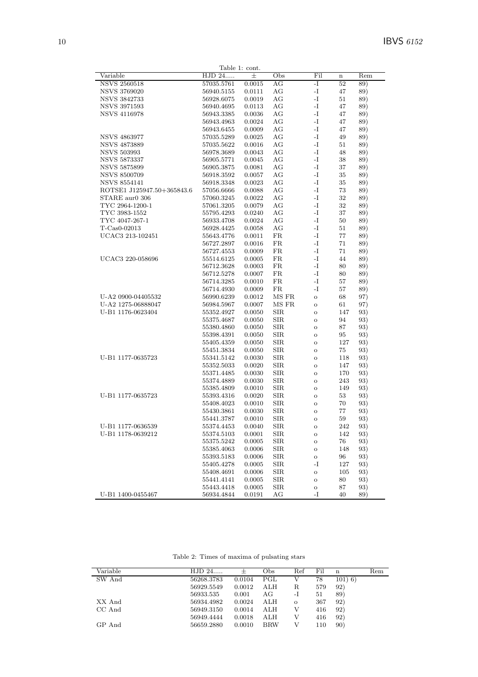| Table 1: cont.             |            |        |              |              |             |     |  |  |  |  |
|----------------------------|------------|--------|--------------|--------------|-------------|-----|--|--|--|--|
| Variable                   | HJD 24     | 士      | Obs          | Fil          | $\mathbf n$ | Rem |  |  |  |  |
| <b>NSVS 2560518</b>        | 57035.5761 | 0.0015 | AG           | -I           | 52          | 89) |  |  |  |  |
| <b>NSVS 3769020</b>        | 56940.5155 | 0.0111 | AG           | -I           | 47          | 89) |  |  |  |  |
| NSVS 3842733               | 56928.6075 | 0.0019 | AG           | -I           | 51          | 89) |  |  |  |  |
| <b>NSVS 3971593</b>        | 56940.4695 | 0.0113 | AG           | -I           | 47          | 89) |  |  |  |  |
| <b>NSVS 4116978</b>        | 56943.3385 | 0.0036 | AG           | -I           | 47          | 89) |  |  |  |  |
|                            | 56943.4963 | 0.0024 | AG           | -I           | 47          | 89) |  |  |  |  |
|                            | 56943.6455 | 0.0009 | AG           | -I           | 47          | 89) |  |  |  |  |
| <b>NSVS 4863977</b>        | 57035.5289 | 0.0025 | AG           | -I           | 49          | 89) |  |  |  |  |
| <b>NSVS 4873889</b>        | 57035.5622 | 0.0016 | AG           | -I           | 51          | 89) |  |  |  |  |
| <b>NSVS 503993</b>         | 56978.3689 | 0.0043 | AG           | -I           | 48          | 89) |  |  |  |  |
| <b>NSVS 5873337</b>        | 56905.5771 | 0.0045 | AG           | -I           | 38          | 89) |  |  |  |  |
| <b>NSVS 5875899</b>        | 56905.3875 | 0.0081 | AG           | -I           | 37          | 89) |  |  |  |  |
| <b>NSVS 8500709</b>        | 56918.3592 | 0.0057 | AG           | -I           | 35          | 89) |  |  |  |  |
| NSVS 8554141               | 56918.3348 | 0.0023 | AG           | -I           | 35          | 89) |  |  |  |  |
| ROTSE1 J125947.50+365843.6 | 57056.6666 | 0.0088 | AG           | $\mathbf{I}$ | 73          | 89) |  |  |  |  |
| STARE aur0 306             | 57060.3245 | 0.0022 | AG           | -I           | 32          | 89) |  |  |  |  |
| TYC 2964-1200-1            | 57061.3205 | 0.0079 | AG           | -I           | 32          | 89) |  |  |  |  |
| TYC 3983-1552              | 55795.4293 | 0.0240 | AG           | -I           | 37          | 89) |  |  |  |  |
| TYC 4047-267-1             | 56933.4708 | 0.0024 | AG           | -I           | 50          | 89) |  |  |  |  |
| $T-Cas0-02013$             | 56928.4425 | 0.0058 | AG           | -I           | 51          | 89) |  |  |  |  |
| UCAC3 213-102451           | 55643.4776 | 0.0011 | FR           | -I           | 77          | 89) |  |  |  |  |
|                            | 56727.2897 | 0.0016 | FR           | -I           | 71          | 89) |  |  |  |  |
|                            | 56727.4553 | 0.0009 | FR           | -I           | 71          | 89) |  |  |  |  |
| UCAC3 220-058696           | 55514.6125 | 0.0005 | FR           | $\mathbf{I}$ | 44          | 89) |  |  |  |  |
|                            | 56712.3628 | 0.0003 | FR           | -I           | 80          | 89) |  |  |  |  |
|                            | 56712.5278 | 0.0007 | FR           | -I           | 80          | 89) |  |  |  |  |
|                            | 56714.3285 | 0.0010 | FR           | -I           | 57          | 89) |  |  |  |  |
|                            | 56714.4930 | 0.0009 | FR           | -I           | 57          | 89) |  |  |  |  |
| U-A2 0900-04405532         | 56990.6239 | 0.0012 | MS FR        | $\mathbf O$  | 68          | 97) |  |  |  |  |
| U-A2 1275-06888047         | 56984.5967 | 0.0007 | MS FR        | $\mathbf O$  | 61          | 97) |  |  |  |  |
| U-B1 1176-0623404          | 55352.4927 | 0.0050 | <b>SIR</b>   | $\mathbf O$  | 147         | 93) |  |  |  |  |
|                            | 55375.4687 | 0.0050 | <b>SIR</b>   | $\mathbf O$  | 94          | 93) |  |  |  |  |
|                            | 55380.4860 | 0.0050 | SIR          | $\mathbf{o}$ | 87          | 93) |  |  |  |  |
|                            | 55398.4391 | 0.0050 | <b>SIR</b>   | $\mathbf O$  | 95          | 93) |  |  |  |  |
|                            | 55405.4359 | 0.0050 | SIR          | $\mathbf O$  | 127         | 93) |  |  |  |  |
|                            | 55451.3834 | 0.0050 | <b>SIR</b>   | $\mathbf O$  | 75          | 93) |  |  |  |  |
| U-B1 1177-0635723          | 55341.5142 | 0.0030 | <b>SIR</b>   | $\mathbf O$  | 118         | 93) |  |  |  |  |
|                            | 55352.5033 | 0.0020 | SIR          | $\mathbf O$  | 147         | 93) |  |  |  |  |
|                            | 55371.4485 | 0.0030 | <b>SIR</b>   | $\mathbf{o}$ | 170         | 93) |  |  |  |  |
|                            | 55374.4889 | 0.0030 | SIR          | $\mathbf O$  | 243         | 93) |  |  |  |  |
|                            | 55385.4809 | 0.0010 | <b>SIR</b>   | $\mathbf O$  | 149         | 93) |  |  |  |  |
| U-B1 1177-0635723          | 55393.4316 | 0.0020 | <b>SIR</b>   | $\mathbf O$  | 53          | 93) |  |  |  |  |
|                            | 55408.4023 | 0.0010 | <b>SIR</b>   | $\mathbf O$  | 70          | 93) |  |  |  |  |
|                            | 55430.3861 | 0.0030 | <b>SIR</b>   | $\mathbf{o}$ | 77          | 93) |  |  |  |  |
|                            | 55441.3787 | 0.0010 | $_{\rm SIR}$ | $\circ$      | 59          | 93) |  |  |  |  |
| U-B1 1177-0636539          | 55374.4453 | 0.0040 | <b>SIR</b>   | $\mathbf O$  | 242         | 93) |  |  |  |  |
| U-B1 1178-0639212          | 55374.5103 | 0.0001 | SIR          | $\mathbf O$  | 142         | 93) |  |  |  |  |
|                            | 55375.5242 | 0.0005 | $_{\rm SIR}$ | $\mathbf{o}$ | 76          | 93) |  |  |  |  |
|                            | 55385.4063 | 0.0006 | SIR          | $\mathbf O$  | 148         | 93) |  |  |  |  |
|                            | 55393.5183 | 0.0006 | ${\rm SIR}$  | $\mathbf{o}$ | 96          | 93) |  |  |  |  |
|                            | 55405.4278 | 0.0005 | <b>SIR</b>   | -I           | 127         | 93) |  |  |  |  |
|                            | 55408.4691 | 0.0006 | <b>SIR</b>   | $\mathbf O$  | 105         | 93) |  |  |  |  |
|                            | 55441.4141 | 0.0005 | SIR          | $\mathbf{o}$ | 80          | 93) |  |  |  |  |
|                            | 55443.4418 | 0.0005 | <b>SIR</b>   | $\mathbf O$  | 87          | 93) |  |  |  |  |
| U-B1 1400-0455467          | 56934.4844 | 0.0191 | AG           | -I           | 40          | 89) |  |  |  |  |

Table 2: Times of maxima of pulsating stars

| Variable | $HJD 24$   |        | Obs        | Ref     | Fil | n         | Rem |
|----------|------------|--------|------------|---------|-----|-----------|-----|
| SW And   | 56268.3783 | 0.0104 | PGL        |         | 78  | $101)$ 6) |     |
|          | 56929.5549 | 0.0012 | ALH        | R       | 579 | 92)       |     |
|          | 56933.535  | 0.001  | AG         | -1      | 51  | 89)       |     |
| XX And   | 56934.4982 | 0.0024 | ALH        | $\circ$ | 367 | 92)       |     |
| CC And   | 56949.3150 | 0.0014 | ALH        |         | 416 | 92)       |     |
|          | 56949.4444 | 0.0018 | ALH        |         | 416 | 92)       |     |
| GP And   | 56659.2880 | 0.0010 | <b>BRW</b> |         | 110 | 90)       |     |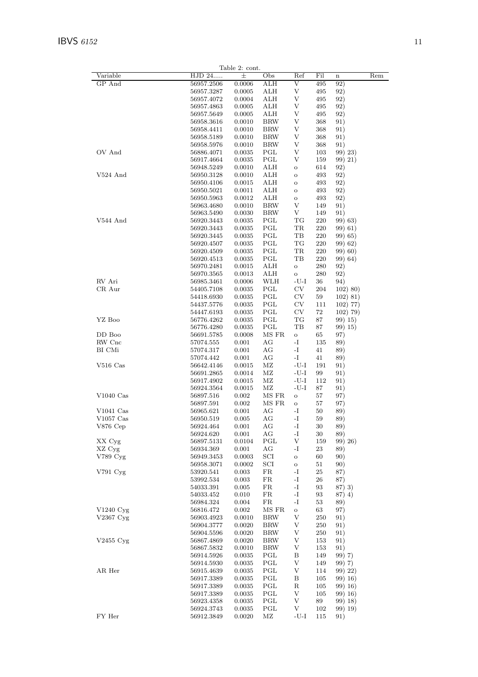$11\,$ 

|                        |            | Table 2: cont. |                             |                |            |             |     |
|------------------------|------------|----------------|-----------------------------|----------------|------------|-------------|-----|
| Variable               | HJD 24     | 士              | Obs                         | Ref            | Fil        | $\mathbf n$ | Rem |
| GP And                 | 56957.2506 | 0.0006         | ALH                         | V              | 495        | 92)         |     |
|                        | 56957.3287 | 0.0005         | ALH                         | V              | 495        | 92)         |     |
|                        | 56957.4072 | 0.0004         | ALH                         | V              | 495        | 92)         |     |
|                        | 56957.4863 | 0.0005         | ALH                         | V              | 495        | 92)         |     |
|                        | 56957.5649 | 0.0005         | ALH                         | V              | 495        | 92)         |     |
|                        | 56958.3616 | 0.0010         | <b>BRW</b>                  | V              | 368        | 91)         |     |
|                        | 56958.4411 | 0.0010         | BRW                         | V              | 368        | 91)         |     |
|                        | 56958.5189 | 0.0010         |                             | V              | 368        |             |     |
|                        |            |                | <b>BRW</b>                  |                |            | 91)         |     |
|                        | 56958.5976 | 0.0010         | <b>BRW</b>                  | V              | 368        | 91)         |     |
| OV And                 | 56886.4071 | 0.0035         | PGL                         | V              | 103        | 99) 23)     |     |
|                        | 56917.4664 | 0.0035         | PGL                         | V              | 159        | 99) 21)     |     |
|                        | 56948.5249 | 0.0010         | ALH                         | $\mathbf O$    | 614        | 92)         |     |
| $V524$ And             | 56950.3128 | 0.0010         | ALH                         | $\mathbf O$    | 493        | 92)         |     |
|                        | 56950.4106 | 0.0015         | ALH                         | $\mathbf O$    | 493        | 92)         |     |
|                        | 56950.5021 | 0.0011         | ALH                         | $\mathbf O$    | 493        | 92)         |     |
|                        | 56950.5963 | 0.0012         | ALH                         | $\mathbf O$    | 493        | 92)         |     |
|                        | 56963.4680 | 0.0010         | BRW                         | V              | 149        | 91)         |     |
|                        | 56963.5490 | 0.0030         | BRW                         | V              | 149        | 91)         |     |
| V544 And               | 56920.3443 | 0.0035         | PGL                         | ТG             | 220        | 99) 63)     |     |
|                        | 56920.3443 | 0.0035         | PGL                         | TR             | 220        | 99) 61)     |     |
|                        |            |                | PGL                         | TВ             | 220        |             |     |
|                        | 56920.3445 | 0.0035         |                             |                |            | 99) 65)     |     |
|                        | 56920.4507 | 0.0035         | PGL                         | TG             | 220        | 99) 62)     |     |
|                        | 56920.4509 | 0.0035         | PGL                         | TR             | 220        | 99) 60)     |     |
|                        | 56920.4513 | 0.0035         | PGL                         | TВ             | 220        | 99) 64)     |     |
|                        | 56970.2481 | 0.0015         | ALH                         | $\mathbf{o}$   | 280        | 92)         |     |
|                        | 56970.3565 | 0.0013         | ALH                         | $\mathbf O$    | 280        | 92)         |     |
| RV Ari                 | 56985.3461 | 0.0006         | WLH                         | $-U-I$         | 36         | 94)         |     |
| CR Aur                 | 54405.7108 | 0.0035         | PGL                         | CV             | 204        | 102) 80)    |     |
|                        | 54418.6930 | 0.0035         | PGL                         | CV             | 59         | 102) 81)    |     |
|                        | 54437.5776 | 0.0035         | PGL                         | $\mathrm{CV}$  | 111        | $102)$ 77)  |     |
|                        | 54447.6193 | 0.0035         | PGL                         | $_{\rm CV}$    | $72\,$     | 102) 79)    |     |
| YZ Boo                 | 56776.4262 | 0.0035         | PGL                         | TG             | 87         | 99) 15)     |     |
|                        | 56776.4280 | 0.0035         | PGL                         | TВ             | 87         | 99) 15)     |     |
| DD Boo                 | 56691.5785 | 0.0008         | MS FR                       | $\mathbf O$    | 65         | 97)         |     |
| RW Cnc                 |            |                | AG                          | -1             | 135        |             |     |
|                        | 57074.555  | 0.001          |                             |                |            | 89)         |     |
| BI CMi                 | 57074.317  | 0.001          | АG                          | -1             | 41         | 89)         |     |
|                        | 57074.442  | 0.001          | AG                          | $\mathbf{-I}$  | 41         | 89)         |     |
| $V516$ Cas             | 56642.4146 | 0.0015         | ΜZ                          | -U-I           | 191        | 91)         |     |
|                        | 56691.2865 | 0.0014         | ΜZ                          | -U-I           | 99         | 91)         |     |
|                        | 56917.4902 | 0.0015         | ΜZ                          | -U-I           | 112        | 91)         |     |
|                        | 56924.3564 | 0.0015         | $\rm MZ$                    | -U-I           | 87         | 91)         |     |
| $V1040$ Cas            | 56897.516  | 0.002          | MS FR                       | $\mathbf O$    | 57         | 97)         |     |
|                        | 56897.591  | 0.002          | MS FR                       | $\mathbf O$    | 57         | 97)         |     |
| $V1041$ Cas            | 56965.621  | 0.001          | AG                          | -1             | 50         | 89)         |     |
| $V1057$ Cas            | 56950.519  | 0.005          | АG                          | $\mathbf{I}$   | 59         | 89)         |     |
| V876 Cep               | 56924.464  | 0.001          | $\rm{AG}$                   | $\mathbf{I}$ – | 30         | 89)         |     |
|                        | 56924.620  | 0.001          | AG                          | -1             | 30         | 89)         |     |
| XX Cyg                 | 56897.5131 | 0.0104         | PGL                         | V              | 159        | 99) 26)     |     |
|                        |            | 0.001          | AG                          | $\mathbf{-I}$  | $\bf 23$   |             |     |
| XZ Cyg                 | 56934.369  |                |                             |                |            | 89)         |     |
| V789 Cyg               | 56949.3453 | 0.0003         | $\mathop{\rm SCI}\nolimits$ | $\mathbf O$    | 60         | 90)         |     |
|                        | 56958.3071 | 0.0002         | $_{\rm SCI}$                | $\mathbf{o}$   | 51         | 90)         |     |
| $V791$ Cyg             | 53920.541  | 0.003          | ${\rm FR}$                  | -1             | 25         | 87)         |     |
|                        | 53992.534  | 0.003          | ${\rm FR}$                  | -I             | ${\bf 26}$ | 87)         |     |
|                        | 54033.391  | 0.005          | ${\rm FR}$                  | $\mathbf{-I}$  | 93         | 87) 3)      |     |
|                        | 54033.452  | 0.010          | FR                          | -1             | 93         | 87) 4)      |     |
|                        | 56984.324  | 0.004          | FR                          | $\mathbf{-I}$  | 53         | 89)         |     |
| $V1240 \,\mathrm{Cyg}$ | 56816.472  | 0.002          | MS FR                       | $\mathbf{o}$   | 63         | 97)         |     |
| V2367 Cyg              | 56903.4923 | 0.0010         | <b>BRW</b>                  | V              | 250        | 91)         |     |
|                        | 56904.3777 | 0.0020         | <b>BRW</b>                  | V              | 250        | 91)         |     |
|                        | 56904.5596 | 0.0020         | <b>BRW</b>                  | V              | 250        | 91)         |     |
|                        |            |                |                             |                |            |             |     |
| $V2455$ Cyg            | 56867.4869 | 0.0020         | <b>BRW</b>                  | V              | 153        | 91)         |     |
|                        | 56867.5832 | 0.0010         | <b>BRW</b>                  | V              | 153        | 91)         |     |
|                        | 56914.5926 | 0.0035         | PGL                         | $\, {\bf B}$   | 149        | 99) 7)      |     |
|                        | 56914.5930 | 0.0035         | PGL                         | V              | 149        | 99) 7)      |     |
| AR Her                 | 56915.4639 | 0.0035         | PGL                         | V              | 114        | 99) 22)     |     |
|                        | 56917.3389 | 0.0035         | PGL                         | Β              | 105        | 99) 16)     |     |
|                        | 56917.3389 | 0.0035         | PGL                         | ${\bf R}$      | 105        | 99) 16)     |     |
|                        | 56917.3389 | 0.0035         | PGL                         | V              | 105        | 99) 16)     |     |
|                        | 56923.4358 | 0.0035         | PGL                         | V              | 89         | 99) 18)     |     |
|                        | 56924.3743 | 0.0035         | PGL                         | V              | 102        | 99) 19)     |     |
| FY Her                 | 56912.3849 | 0.0020         | ΜZ                          | $-U-I$         | 115        | 91)         |     |
|                        |            |                |                             |                |            |             |     |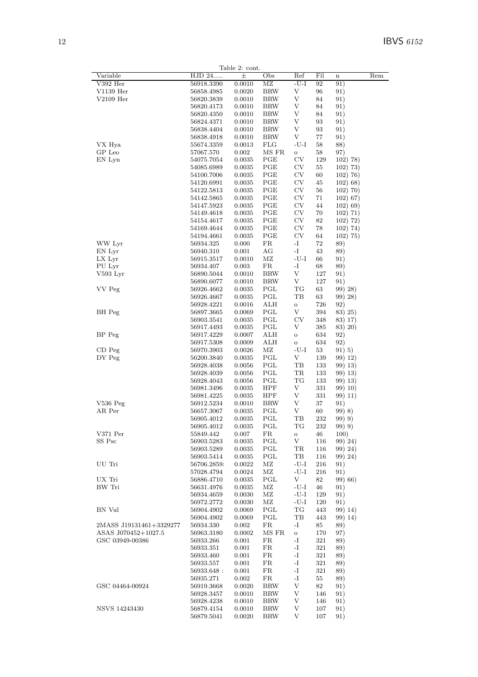|                         | Table 2: cont.            |                  |                          |                   |            |                       |     |
|-------------------------|---------------------------|------------------|--------------------------|-------------------|------------|-----------------------|-----|
| Variable                | HJD 24                    | 土                | Obs                      | Ref               | Fil        | $\mathbf n$           | Rem |
| V392 Her                | 56918.3390                | 0.0010           | MZ                       | $-U-I$            | 92         | 91)                   |     |
| V1139 Her               | 56858.4985                | 0.0020           | <b>BRW</b>               | V                 | 96         | 91)                   |     |
| $V2109$ Her             | 56820.3839<br>56820.4173  | 0.0010<br>0.0010 | <b>BRW</b><br><b>BRW</b> | V<br>V            | 84<br>84   | 91)<br>91)            |     |
|                         | 56820.4350                | 0.0010           | <b>BRW</b>               | V                 | 84         | 91)                   |     |
|                         | 56824.4371                | 0.0010           | <b>BRW</b>               | V                 | 93         | 91)                   |     |
|                         | 56838.4404                | 0.0010           | <b>BRW</b>               | V                 | 93         | 91)                   |     |
|                         | 56838.4918                | 0.0010           | <b>BRW</b>               | V                 | $77\,$     | 91)                   |     |
| VX Hya                  | 55674.3359                | 0.0013           | <b>FLG</b>               | $-U-I$            | 58         | 88)                   |     |
| $\operatorname{GP}$ Leo | 57067.570                 | 0.002            | MS FR                    | $\mathbf O$       | 58         | 97)                   |     |
| EN Lyn                  | 54075.7054                | 0.0035           | PGE                      | CV                | 129        | $102)$ 78)            |     |
|                         | 54085.6989                | 0.0035           | PGE                      | $_{\rm CV}$       | 55         | $102)$ 73)            |     |
|                         | 54100.7006<br>54120.6991  | 0.0035<br>0.0035 | PGE<br>PGE               | $_{\rm CV}$<br>CV | 60<br>45   | 102)76)<br>$102)$ 68) |     |
|                         | 54122.5813                | 0.0035           | PGE                      | CV                | 56         | $102)$ 70)            |     |
|                         | 54142.5865                | 0.0035           | PGE                      | $_{\rm CV}$       | 71         | $102)$ 67)            |     |
|                         | 54147.5923                | 0.0035           | PGE                      | CV                | 44         | $102)$ 69)            |     |
|                         | 54149.4618                | $0.0035\,$       | PGE                      | $_{\rm CV}$       | 70         | $102)$ 71)            |     |
|                         | 54154.4617                | 0.0035           | PGE                      | $_{\rm CV}$       | 82         | $102)$ 72)            |     |
|                         | 54169.4644                | 0.0035           | PGE                      | CV                | 78         | 102) 74)              |     |
|                         | 54194.4661                | 0.0035           | PGE                      | CV                | 64         | 102) 75)              |     |
| WW Lyr                  | 56934.325                 | 0.000            | FR                       | -I                | 72         | 89)                   |     |
| EN Lyr<br>LX Lyr        | 56940.310<br>56915.3517   | 0.001<br>0.0010  | AG<br>$\rm MZ$           | -I<br>$-U-I$      | 43<br>66   | 89)<br>91)            |     |
| PU Lyr                  | 56934.407                 | 0.003            | FR                       | -1                | 68         | 89)                   |     |
| $V593$ Lyr              | 56890.5044                | 0.0010           | <b>BRW</b>               | V                 | 127        | 91)                   |     |
|                         | 56890.6077                | 0.0010           | <b>BRW</b>               | V                 | 127        | 91)                   |     |
| VV Peg                  | 56926.4662                | 0.0035           | PGL                      | TG                | 63         | 99) 28)               |     |
|                         | 56926.4667                | 0.0035           | PGL                      | TВ                | 63         | 99) 28)               |     |
|                         | 56928.4221                | 0.0016           | ALH                      | $\mathbf{o}$      | 726        | 92)                   |     |
| BH Peg                  | 56897.3665                | 0.0069           | PGL                      | V                 | 394        | 83) 25)               |     |
|                         | 56903.3541                | 0.0035           | PGL                      | $\mathrm{CV}$     | 348        | 83) 17)               |     |
| BP Peg                  | 56917.4493<br>56917.4229  | 0.0035<br>0.0007 | PGL<br>ALH               | V<br>$\mathbf O$  | 385<br>634 | 83) 20)<br>92)        |     |
|                         | 56917.5308                | 0.0009           | ALH                      | $\mathbf O$       | 634        | 92)                   |     |
| $CD$ Peg                | 56970.3903                | 0.0026           | MZ                       | $-U-I$            | 53         | 91) 5)                |     |
| DY Peg                  | 56200.3840                | 0.0035           | PGL                      | V                 | 139        | 99) 12)               |     |
|                         | 56928.4038                | 0.0056           | PGL                      | TB                | 133        | 99) 13)               |     |
|                         | 56928.4039                | 0.0056           | PGL                      | TR                | 133        | 99) 13)               |     |
|                         | 56928.4043                | 0.0056           | PGL                      | TG                | 133        | 99) 13)               |     |
|                         | 56981.3496                | 0.0035           | <b>HPF</b>               | V                 | 331        | 99) 10)               |     |
| $V536$ Peg              | 56981.4225<br>56912.5234  | 0.0035<br>0.0010 | HPF<br><b>BRW</b>        | V<br>V            | 331<br>37  | 99) 11)<br>91)        |     |
| AR Per                  | 56657.3067                | 0.0035           | PGL                      | V                 | 60         | 99) 8)                |     |
|                         | 56905.4012                | 0.0035           | PGL                      | TВ                | 232        | 99) 9)                |     |
|                         | 56905.4012                | 0.0035           | PGL                      | TG                | 232        | 99) 9)                |     |
| V371 Per                | 55849.442                 | 0.007            | FR                       | $\mathbf O$       | 46         | 100)                  |     |
| SS Psc                  | 56903.5283                | 0.0035           | PGL                      | V                 | 116        | 99) 24)               |     |
|                         | 56903.5289                | 0.0035           | PGL                      | TR                | 116        | 99) 24)               |     |
|                         | 56903.5414                | 0.0035           | PGL                      | $_{\rm{TB}}$      | 116        | 99) 24)               |     |
| UU Tri                  | 56706.2859:<br>57028.4794 | 0.0022<br>0.0024 | ΜZ<br>$\rm MZ$           | $-U-I$<br>$-U-I$  | 216<br>216 | 91)<br>91)            |     |
| UX Tri                  | 56886.4710                | 0.0035           | PGL                      | V                 | 82         | 99) 66)               |     |
| BW Tri                  | 56631.4976                | 0.0035           | ΜZ                       | $-U-I$            | 46         | 91)                   |     |
|                         | 56934.4659                | 0.0030           | ΜZ                       | -U-I              | 129        | 91)                   |     |
|                         | 56972.2772                | 0.0030           | $\rm MZ$                 | $-U-I$            | 120        | 91)                   |     |
| BN Vul                  | 56904.4902                | 0.0069           | PGL                      | TG                | 443        | 99) 14)               |     |
|                         | 56904.4902                | 0.0069           | PGL                      | $_{\rm{TB}}$      | 443        | 99) 14)               |     |
| 2MASS J19131461+3329277 | 56934.330                 | 0.002            | FR                       | -1                | 85         | 89)                   |     |
| ASAS J070452+1027.5     | 56963.3180                | 0.0002           | MS FR                    | $\mathbf{o}$      | 170        | 97)                   |     |
| GSC 03949-00386         | 56933.266<br>56933.351    | 0.001<br>0.001   | FR<br>${\rm FR}$         | -I<br>-I          | 321<br>321 | 89)<br>89)            |     |
|                         | 56933.460                 | 0.001            | ${\rm FR}$               | -1                | 321        | 89)                   |     |
|                         | 56933.557                 | 0.001            | FR                       | -I                | 321        | 89)                   |     |
|                         | 56933.648 :               | 0.001            | ${\rm FR}$               | $\mathbf{-I}$     | 321        | 89)                   |     |
|                         | 56935.271                 | 0.002            | FR                       | -1                | 55         | 89)                   |     |
| GSC 04464-00924         | 56919.3668                | 0.0020           | <b>BRW</b>               | V                 | 82         | 91)                   |     |
|                         | 56928.3457                | 0.0010           | <b>BRW</b>               | V                 | 146        | 91)                   |     |
|                         | 56928.4238                | 0.0010           | <b>BRW</b>               | V                 | 146        | 91)                   |     |
| NSVS 14243430           | 56879.4154                | 0.0010           | <b>BRW</b>               | V                 | 107        | 91)                   |     |
|                         | 56879.5041                | 0.0020           | <b>BRW</b>               | V                 | 107        | 91)                   |     |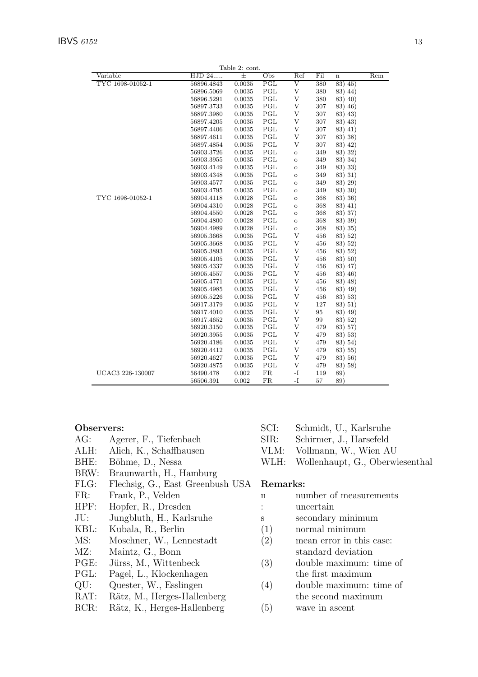|                  |            | Table 2: cont. |                      |                    |     |            |     |
|------------------|------------|----------------|----------------------|--------------------|-----|------------|-----|
| Variable         | HJD 24     | 士              | Obs                  | Ref                | Fil | $\bf n$    | Rem |
| TYC 1698-01052-1 | 56896.4843 | 0.0035         | PGL                  | $\overline{\rm v}$ | 380 | $(83)$ 45) |     |
|                  | 56896.5069 | 0.0035         | PGL                  | V                  | 380 | 83) 44)    |     |
|                  | 56896.5291 | 0.0035         | PGL                  | V                  | 380 | 83) 40)    |     |
|                  | 56897.3733 | 0.0035         | PGL                  | V                  | 307 | 83) 46)    |     |
|                  | 56897.3980 | 0.0035         | PGL                  | V                  | 307 | 83) 43)    |     |
|                  | 56897.4205 | 0.0035         | PGL                  | V                  | 307 | 83) 43)    |     |
|                  | 56897.4406 | 0.0035         | PGL                  | $\mathbf{V}$       | 307 | 83) 41)    |     |
|                  | 56897.4611 | 0.0035         | PGL                  | V                  | 307 | 83) 38)    |     |
|                  | 56897.4854 | 0.0035         | PGL                  | V                  | 307 | 83) 42)    |     |
|                  | 56903.3726 | 0.0035         | PGL                  | $\mathbf O$        | 349 | 83) 32)    |     |
|                  | 56903.3955 | 0.0035         | PGL                  | $\mathbf O$        | 349 | 83) 34)    |     |
|                  | 56903.4149 | 0.0035         | PGL                  | $\mathbf O$        | 349 | 83) 33)    |     |
|                  | 56903.4348 | 0.0035         | PGL                  | $\mathbf{o}$       | 349 | 83) 31)    |     |
|                  | 56903.4577 | 0.0035         | PGL                  | $\mathbf{o}$       | 349 | 83) 29)    |     |
|                  | 56903.4795 | 0.0035         | PGL                  | $\circ$            | 349 | 83) 30)    |     |
| TYC 1698-01052-1 | 56904.4118 | 0.0028         | PGL                  | $\overline{O}$     | 368 | 83) 36)    |     |
|                  | 56904.4310 | 0.0028         | PGL                  | $\circ$            | 368 | 83) 41)    |     |
|                  | 56904.4550 | 0.0028         | PGL                  | $\overline{O}$     | 368 | 83) 37)    |     |
|                  | 56904.4800 | 0.0028         | PGL                  | $\circ$            | 368 | 83) 39)    |     |
|                  | 56904.4989 | 0.0028         | PGL                  | $\mathbf{o}$       | 368 | 83) 35)    |     |
|                  | 56905.3668 | 0.0035         | PGL                  | V                  | 456 | 83) 52)    |     |
|                  | 56905.3668 | 0.0035         | PGL                  | V                  | 456 | 83) 52)    |     |
|                  | 56905.3893 | 0.0035         | PGL                  | V                  | 456 | 83) 52)    |     |
|                  | 56905.4105 | 0.0035         | PGL                  | V                  | 456 | 83) 50)    |     |
|                  | 56905.4337 | 0.0035         | PGL                  | V                  | 456 | 83) 47)    |     |
|                  | 56905.4557 | 0.0035         | PGL                  | V                  | 456 | 83) 46)    |     |
|                  | 56905.4771 | 0.0035         | PGL                  | V                  | 456 | 83) 48)    |     |
|                  | 56905.4985 | 0.0035         | $\operatorname{PGL}$ | V                  | 456 | 83) 49)    |     |
|                  | 56905.5226 | 0.0035         | PGL                  | $\mathbf{V}$       | 456 | 83) 53)    |     |
|                  | 56917.3179 | 0.0035         | PGL                  | V                  | 127 | 83) 51)    |     |
|                  | 56917.4010 | 0.0035         | PGL                  | V                  | 95  | 83) 49)    |     |
|                  | 56917.4652 | 0.0035         | PGL                  | V                  | 99  | 83) 52)    |     |
|                  | 56920.3150 | 0.0035         | PGL                  | $\mathbf{V}$       | 479 | 83) 57)    |     |
|                  | 56920.3955 | 0.0035         | PGL                  | V                  | 479 | 83) 53)    |     |
|                  | 56920.4186 | 0.0035         | PGL                  | V                  | 479 | 83) 54)    |     |
|                  | 56920.4412 | 0.0035         | PGL                  | V                  | 479 | 83) 55)    |     |
|                  | 56920.4627 | 0.0035         | PGL                  | V                  | 479 | 83) 56)    |     |
|                  | 56920.4875 | 0.0035         | PGL                  | V                  | 479 | 83) 58)    |     |
| UCAC3 226-130007 | 56490.478  | 0.002          | FR                   | $\mathbf{I}$       | 119 | 89)        |     |
|                  | 56506.391  | 0.002          | $_{\rm FR}$          | -I                 | 57  | 89)        |     |

### Observers:

- $AG:$ Agerer, F., Tiefenbach
- Alich, K., Schaffhausen ALH:
- BHE: Böhme, D., Nessa
- BRW: Braunwarth, H., Hamburg
- Flechsig, G., East Greenbush USA FLG:
- FR: Frank, P., Velden
- $HPF:$ Hopfer, R., Dresden
- $JU:$ Jungbluth, H., Karlsruhe
- KBL: Kubala, R., Berlin
- MS: Moschner, W., Lennestadt
- $MZ:$ Maintz, G., Bonn
- Jürss, M., Wittenbeck PGE:
- PGL: Pagel, L., Klockenhagen
- $QU:$ Quester, W., Esslingen
- RAT: Rätz, M., Herges-Hallenberg
- $RCR:$ Rätz, K., Herges-Hallenberg
- SCI: Schmidt, U., Karlsruhe
- SIR: Schirmer, J., Harsefeld
- Vollmann, W., Wien AU VLM:
- WLH: Wollenhaupt, G., Oberwiesenthal

#### Remarks:

- number of measurements  $\overline{\mathbf{n}}$ uncertain  $\ddot{\cdot}$
- secondary minimum  $\mathbf{s}$
- normal minimum  $(1)$
- mean error in this case:  $(2)$ standard deviation
- $(3)$ double maximum: time of the first maximum
- $(4)$ double maximum: time of the second maximum
- wave in ascent  $(5)$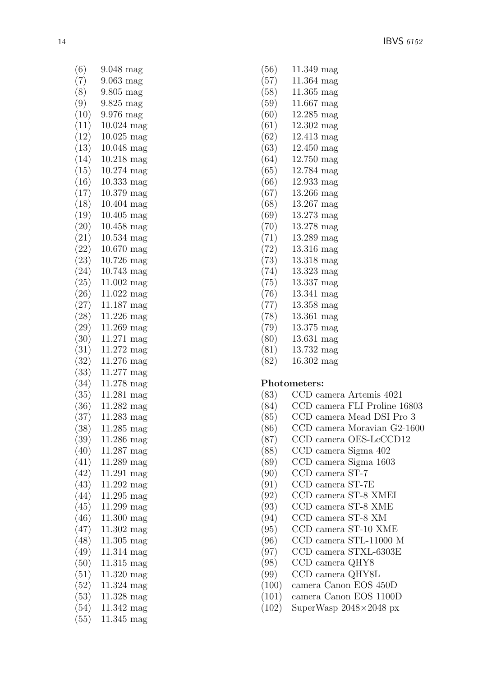| (6)                | $9.048$ mag             |
|--------------------|-------------------------|
| (7)                | $9.063$ mag             |
|                    |                         |
| (8)                | $9.805$ mag             |
| (9)                | $9.825$ mag             |
| (10)               | $9.976$ mag             |
|                    |                         |
| (11)               | 10.024<br>mag           |
| (12)               | $10.025$ mag            |
| $\left(13\right)$  | $10.048~\mathrm{mag}$   |
| 14)                | $10.218$ mag            |
|                    |                         |
| $\left(15\right)$  | $10.274$ mag            |
| (16)               | $10.333 \text{ mag}$    |
| (17)               | $10.379$ mag            |
|                    |                         |
| (18)               | $10.404$ mag            |
| $^{(19)}$          | $10.405~\mathrm{mag}$   |
| (20)               | $10.458$ mag            |
| (21)               | $10.534$ mag            |
|                    |                         |
| (22)               | $10.670~\mathrm{mag}$   |
| (23)               | $10.726$ mag            |
| (24)               | $10.743 \,\mathrm{mag}$ |
|                    |                         |
| (25)               | $11.002~\mathrm{mag}$   |
| (26)               | $11.022$ mag            |
| (27)               | 11.187<br>mag           |
| (28)               | $11.226~\mathrm{mag}$   |
|                    |                         |
| $\left( 29\right)$ | $11.269$ mag            |
| (30)               | 11.271<br>mag           |
| (31)               | $11.272~\mathrm{mag}$   |
| (32)               | $11.276$ mag            |
|                    |                         |
|                    | 11.277<br>mag           |
| (34)               | 11.278 mag              |
| (35                | 11.281<br>mag           |
| (36                | 11.282<br>mag           |
|                    |                         |
| (37)               | 11.283<br>mag           |
| (38)               | 11.285<br>mag           |
| (39)               | 11.286<br>mag           |
| (40)               | 11.287<br>mag           |
|                    |                         |
| (41)               | 11.289<br>mag           |
| (42)               | 11.291<br>mag           |
| (43)               | 11.292<br>mag           |
| (44)               | 11.295                  |
|                    | mag                     |
| (45)               | 11.299<br>mag           |
| (46)               | 11.300<br>mag           |
| (47)               | 11.302<br>mag           |
|                    |                         |
| (48)               | 11.305<br>mag           |
| (49)               | 11.314<br>mag           |
| (50)               | 11.315<br>mag           |
| (51)               | 11.320<br>mag           |
|                    |                         |
| (52)               | 11.324<br>mag           |
| (53)               | 11.328<br>mag           |
| (54)               | 11.342<br>mag           |
| (55)               | 11.345<br>mag           |
|                    |                         |

| (56) | 11.349<br>mag        |
|------|----------------------|
| (57) | 11.364<br>mag        |
| (58) | 11.365<br>mag        |
| (59) | 11.667<br>mag        |
| (60) | 12.285<br>mag        |
| (61) | 12.302<br>mag        |
| (62) | 12.413<br>mag        |
| (63) | 12.450<br>mag        |
| (64) | 12.750<br>mag        |
| (65) | 12.784<br>mag        |
| (66) | 12.933<br>mag        |
| (67) | 13.266<br>mag        |
| (68) | 13.267<br>mag        |
| (69) | 13.273<br>mag        |
| (70) | 13.278<br>mag        |
| (71) | 13.289<br>mag        |
| (72) | 13.316<br>mag        |
| (73) | 13.318<br>mag        |
| (74) | 13.323<br>mag        |
| (75) | 13.337<br>mag        |
| (76) | 13.341<br>mag        |
| (77) | 13.358<br>mag        |
| (78) | 13.361<br>mag        |
| (79) | 13.375<br>mag        |
| (80) | 13.631<br>mag        |
| (R1  | 13 732<br>$ma\sigma$ |

- (81) 13.732 mag
- (82) 16.302 mag

## Photometers:

- (83) CCD camera Artemis 4021
- (84) CCD camera FLI Proline 16803
- (85) CCD camera Mead DSI Pro 3
- (86) CCD camera Moravian G2-1600
- (87) CCD camera OES-LcCCD12
- (88) CCD camera Sigma 402
- (89) CCD camera Sigma 1603
- (90) CCD camera ST-7
- (91) CCD camera ST-7E
- (92) CCD camera ST-8 XMEI
- (93) CCD camera ST-8 XME
- (94) CCD camera ST-8 XM
- (95) CCD camera ST-10 XME
- (96) CCD camera STL-11000 M
- (97) CCD camera STXL-6303E
- (98) CCD camera QHY8
- (99) CCD camera QHY8L
- (100) camera Canon EOS 450D
- (101) camera Canon EOS 1100D
- $(102)$  SuperWasp 2048×2048 px